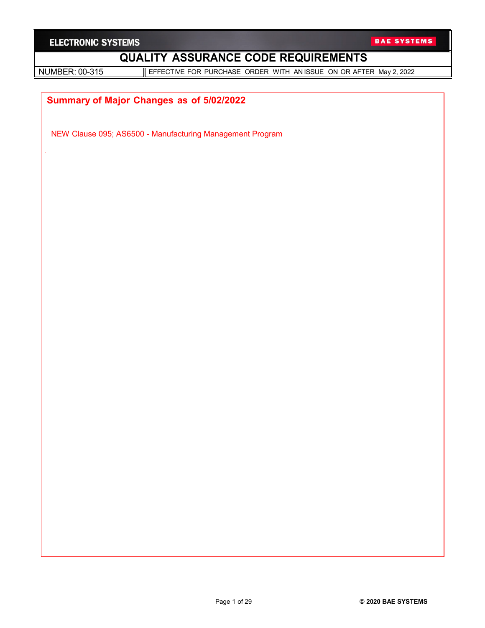| <b>ELECTRONIC SYSTEMS</b> |  |
|---------------------------|--|
|---------------------------|--|

.

NUMBER: 00-315 **EFFECTIVE FOR PURCHASE ORDER WITH AN ISSUE ON OR AFTER May 2, 2022** 

# **Summary of Major Changes as of 5/02/2022**

NEW Clause 095; AS6500 - Manufacturing Management Program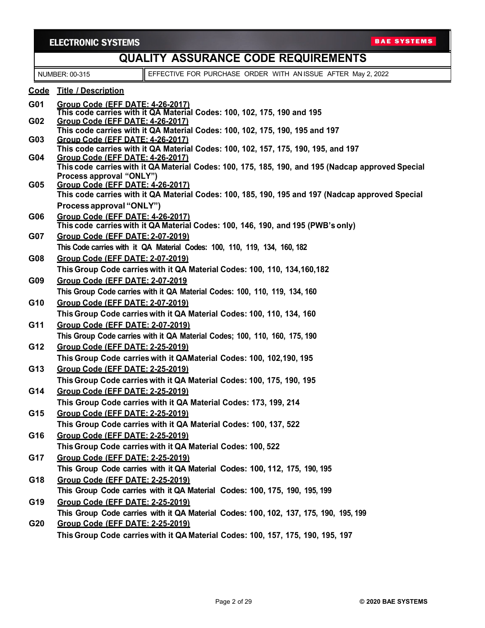|                 | <b>ELECTRONIC SYSTEMS</b>                      |                                                                                                   | <b>BAE SYSTEMS</b> |  |  |
|-----------------|------------------------------------------------|---------------------------------------------------------------------------------------------------|--------------------|--|--|
|                 | <b>QUALITY ASSURANCE CODE REQUIREMENTS</b>     |                                                                                                   |                    |  |  |
|                 | NUMBER: 00-315                                 | EFFECTIVE FOR PURCHASE ORDER WITH ANISSUE AFTER May 2, 2022                                       |                    |  |  |
|                 | Code Title / Description                       |                                                                                                   |                    |  |  |
| G01             | <b>Group Code (EFF DATE: 4-26-2017)</b>        |                                                                                                   |                    |  |  |
| G <sub>02</sub> | Group Code (EFF DATE: 4-26-2017)               | This code carries with it QA Material Codes: 100, 102, 175, 190 and 195                           |                    |  |  |
|                 |                                                | This code carries with it QA Material Codes: 100, 102, 175, 190, 195 and 197                      |                    |  |  |
| G <sub>03</sub> | Group Code (EFF DATE: 4-26-2017)               | This code carries with it QA Material Codes: 100, 102, 157, 175, 190, 195, and 197                |                    |  |  |
| G04             | Group Code (EFF DATE: 4-26-2017)               |                                                                                                   |                    |  |  |
|                 | Process approval "ONLY")                       | This code carries with it QA Material Codes: 100, 175, 185, 190, and 195 (Nadcap approved Special |                    |  |  |
| G05             | Group Code (EFF DATE: 4-26-2017)               |                                                                                                   |                    |  |  |
|                 |                                                | This code carries with it QA Material Codes: 100, 185, 190, 195 and 197 (Nadcap approved Special  |                    |  |  |
|                 | Process approval "ONLY")                       |                                                                                                   |                    |  |  |
| G06             | Group Code (EFF DATE: 4-26-2017)               | This code carries with it QA Material Codes: 100, 146, 190, and 195 (PWB's only)                  |                    |  |  |
| <b>G07</b>      | <b>Group Code (EFF DATE: 2-07-2019)</b>        |                                                                                                   |                    |  |  |
|                 |                                                | This Code carries with it QA Material Codes: 100, 110, 119, 134, 160, 182                         |                    |  |  |
| G08             | Group Code (EFF DATE: 2-07-2019)               |                                                                                                   |                    |  |  |
|                 |                                                | This Group Code carries with it QA Material Codes: 100, 110, 134, 160, 182                        |                    |  |  |
| G09             | Group Code (EFF DATE: 2-07-2019                | This Group Code carries with it QA Material Codes: 100, 110, 119, 134, 160                        |                    |  |  |
| G10             | Group Code (EFF DATE: 2-07-2019)               |                                                                                                   |                    |  |  |
|                 |                                                | This Group Code carries with it QA Material Codes: 100, 110, 134, 160                             |                    |  |  |
| G11             | Group Code (EFF DATE: 2-07-2019)               |                                                                                                   |                    |  |  |
|                 |                                                | This Group Code carries with it QA Material Codes; 100, 110, 160, 175, 190                        |                    |  |  |
| G12             | <b>Group Code (EFF DATE: 2-25-2019)</b>        |                                                                                                   |                    |  |  |
|                 |                                                | This Group Code carries with it QAMaterial Codes: 100, 102,190, 195                               |                    |  |  |
| G13             | <b>Group Code (EFF DATE: 2-25-2019)</b>        |                                                                                                   |                    |  |  |
|                 |                                                | This Group Code carries with it QA Material Codes: 100, 175, 190, 195                             |                    |  |  |
| G14             | <u><b>Group Code (EFF DATE: 2-25-2019)</b></u> |                                                                                                   |                    |  |  |
|                 |                                                | This Group Code carries with it QA Material Codes: 173, 199, 214                                  |                    |  |  |
| G15             | <b>Group Code (EFF DATE: 2-25-2019)</b>        | This Group Code carries with it QA Material Codes: 100, 137, 522                                  |                    |  |  |
| G16             | Group Code (EFF DATE: 2-25-2019)               |                                                                                                   |                    |  |  |
|                 |                                                | This Group Code carries with it QA Material Codes: 100, 522                                       |                    |  |  |
| G17             | Group Code (EFF DATE: 2-25-2019)               |                                                                                                   |                    |  |  |
|                 |                                                | This Group Code carries with it QA Material Codes: 100, 112, 175, 190, 195                        |                    |  |  |
| G18             | <b>Group Code (EFF DATE: 2-25-2019)</b>        |                                                                                                   |                    |  |  |
|                 |                                                | This Group Code carries with it QA Material Codes: 100, 175, 190, 195, 199                        |                    |  |  |
| G19             | <b>Group Code (EFF DATE: 2-25-2019)</b>        |                                                                                                   |                    |  |  |
|                 |                                                | This Group Code carries with it QA Material Codes: 100, 102, 137, 175, 190, 195, 199              |                    |  |  |
| G20             | <b>Group Code (EFF DATE: 2-25-2019)</b>        |                                                                                                   |                    |  |  |
|                 |                                                | This Group Code carries with it QA Material Codes: 100, 157, 175, 190, 195, 197                   |                    |  |  |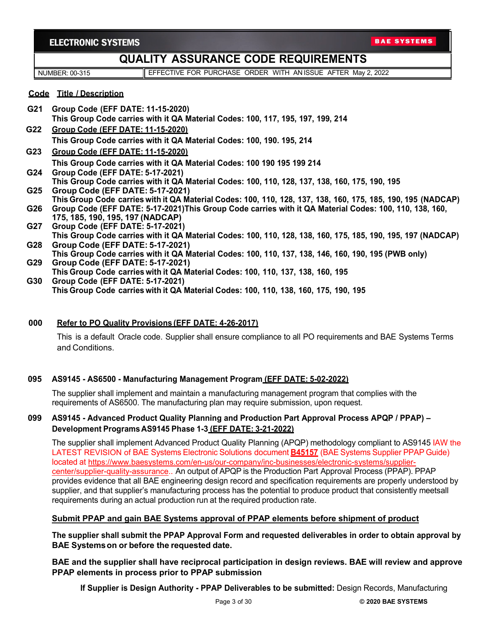# **QUALITY ASSURANCE CODE REQUIREMENTS**

NUMBER: 00-315 **EFFECTIVE FOR PURCHASE ORDER WITH AN ISSUE AFTER May 2, 2022** 

### **Code Title / Description**

- **G21 Group Code (EFF DATE: 11-15-2020) This Group Code carries with it QA Material Codes: 100, 117, 195, 197, 199, 214**
- **G22 Group Code (EFF DATE: 11-15-2020) This Group Code carries with it QA Material Codes: 100, 190. 195, 214**
- **G23 Group Code (EFF DATE: 11-15-2020) This Group Code carries with it QA Material Codes: 100 190 195 199 214**
- **G24 Group Code (EFF DATE: 5-17-2021) This Group Code carries with it QA Material Codes: 100, 110, 128, 137, 138, 160, 175, 190, 195**
- **G25 Group Code (EFF DATE: 5-17-2021) This Group Code carries with it QA Material Codes: 100, 110, 128, 137, 138, 160, 175, 185, 190, 195 (NADCAP)**
- **G26 Group Code (EFF DATE: 5-17-2021)This Group Code carries with it QA Material Codes: 100, 110, 138, 160, 175, 185, 190, 195, 197 (NADCAP)**
- **G27 Group Code (EFF DATE: 5-17-2021)**
- **This Group Code carries with it QA Material Codes: 100, 110, 128, 138, 160, 175, 185, 190, 195, 197 (NADCAP) G28 Group Code (EFF DATE: 5-17-2021)**
- **This Group Code carries with it QA Material Codes: 100, 110, 137, 138, 146, 160, 190, 195 (PWB only) G29 Group Code (EFF DATE: 5-17-2021)**
- **This Group Code carries with it QA Material Codes: 100, 110, 137, 138, 160, 195 G30 Group Code (EFF DATE: 5-17-2021)**

**This Group Code carries with it QA Material Codes: 100, 110, 138, 160, 175, 190, 195**

### **000 Refer to PO Quality Provisions (EFF DATE: 4-26-2017)**

This is a default Oracle code. Supplier shall ensure compliance to all PO requirements and BAE Systems Terms and Conditions.

### **095 AS9145 - AS6500 - Manufacturing Management Program (EFF DATE: 5-02-2022)**

The supplier shall implement and maintain a manufacturing management program that complies with the requirements of AS6500. The manufacturing plan may require submission, upon request.

### **099 AS9145 - Advanced Product Quality Planning and Production Part Approval Process APQP / PPAP) – Development Programs AS9145 Phase 1-3 (EFF DATE: 3-21-2022)**

The supplier shall implement Advanced Product Quality Planning (APQP) methodology compliant to AS9145 IAW the LATEST REVISION of BAE Systems Electronic Solutions document **B45157** (BAE Systems Supplier PPAP Guide) located at [https://www.baesystems.com/en-us/our-company/inc-businesses/electronic-systems/supplier](https://www.baesystems.com/en-us/our-company/inc-businesses/electronic-systems/supplier-center/supplier-quality-assurance)[center/supplier-quality-assurance.](https://www.baesystems.com/en-us/our-company/inc-businesses/electronic-systems/supplier-center/supplier-quality-assurance). An output of APQP is the Production Part Approval Process (PPAP). PPAP provides evidence that all BAE engineering design record and specification requirements are properly understood by supplier, and that supplier's manufacturing process has the potential to produce product that consistently meetsall requirements during an actual production run at the required production rate.

### **Submit PPAP and gain BAE Systems approval of PPAP elements before shipment of product**

**The supplier shall submit the PPAP Approval Form and requested deliverables in order to obtain approval by BAE Systemson or before the requested date.**

**BAE and the supplier shall have reciprocal participation in design reviews. BAE will review and approve PPAP elements in process prior to PPAP submission**

**If Supplier is Design Authority - PPAP Deliverables to be submitted:** Design Records, Manufacturing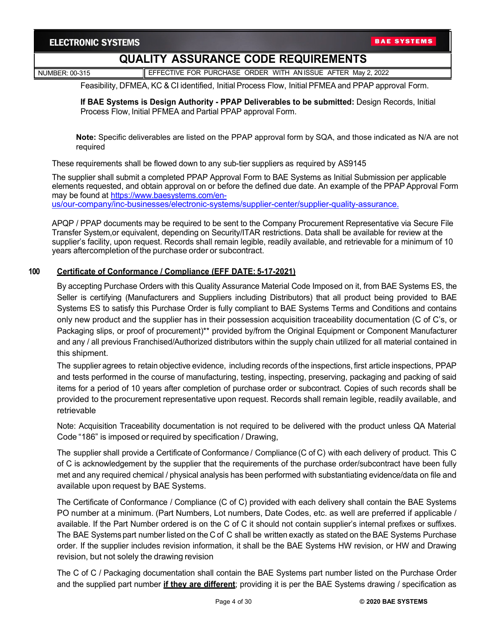NUMBER: 00-315 **EFFECTIVE FOR PURCHASE ORDER WITH AN ISSUE AFTER May 2, 2022** 

Feasibility, DFMEA, KC & CI identified, Initial Process Flow, Initial PFMEA and PPAP approval Form.

**If BAE Systems is Design Authority - PPAP Deliverables to be submitted:** Design Records, Initial Process Flow, Initial PFMEA and Partial PPAP approval Form.

**Note:** Specific deliverables are listed on the PPAP approval form by SQA, and those indicated as N/A are not required

These requirements shall be flowed down to any sub-tier suppliers as required by AS9145

The supplier shall submit a completed PPAP Approval Form to BAE Systems as Initial Submission per applicable elements requested, and obtain approval on or before the defined due date. An example of the PPAP Approval Form may be found at [https://www.baesystems.com/en](https://www.baesystems.com/en-us/our-company/inc-businesses/electronic-systems/supplier-center/supplier-quality-assurance)[us/our-company/inc-businesses/electronic-systems/supplier-center/supplier-quality-assurance.](https://www.baesystems.com/en-us/our-company/inc-businesses/electronic-systems/supplier-center/supplier-quality-assurance)

APQP / PPAP documents may be required to be sent to the Company Procurement Representative via Secure File Transfer System,or equivalent, depending on Security/ITAR restrictions. Data shall be available for review at the supplier's facility, upon request. Records shall remain legible, readily available, and retrievable for a minimum of 10

#### **100 Certificate of Conformance / Compliance (EFF DATE: 5-17-2021)**

years aftercompletion of the purchase order or subcontract.

By accepting Purchase Orders with this Quality Assurance Material Code Imposed on it, from BAE Systems ES, the Seller is certifying (Manufacturers and Suppliers including Distributors) that all product being provided to BAE Systems ES to satisfy this Purchase Order is fully compliant to BAE Systems Terms and Conditions and contains only new product and the supplier has in their possession acquisition traceability documentation (C of C's, or Packaging slips, or proof of procurement)\*\* provided by/from the Original Equipment or Component Manufacturer and any / all previous Franchised/Authorized distributors within the supply chain utilized for all material contained in this shipment.

The supplier agrees to retain objective evidence, including records of the inspections, first article inspections, PPAP and tests performed in the course of manufacturing, testing, inspecting, preserving, packaging and packing of said items for a period of 10 years after completion of purchase order or subcontract. Copies of such records shall be provided to the procurement representative upon request. Records shall remain legible, readily available, and retrievable

Note: Acquisition Traceability documentation is not required to be delivered with the product unless QA Material Code "186" is imposed or required by specification / Drawing,

The supplier shall provide a Certificate of Conformance / Compliance (C of C) with each delivery of product. This C of C is acknowledgement by the supplier that the requirements of the purchase order/subcontract have been fully met and any required chemical / physical analysis has been performed with substantiating evidence/data on file and available upon request by BAE Systems.

The Certificate of Conformance / Compliance (C of C) provided with each delivery shall contain the BAE Systems PO number at a minimum. (Part Numbers, Lot numbers, Date Codes, etc. as well are preferred if applicable / available. If the Part Number ordered is on the C of C it should not contain supplier's internal prefixes or suffixes. The BAE Systems part number listed on the C of C shall be written exactly as stated on the BAE Systems Purchase order. If the supplier includes revision information, it shall be the BAE Systems HW revision, or HW and Drawing revision, but not solely the drawing revision

The C of C / Packaging documentation shall contain the BAE Systems part number listed on the Purchase Order and the supplied part number **if they are different**; providing it is per the BAE Systems drawing / specification as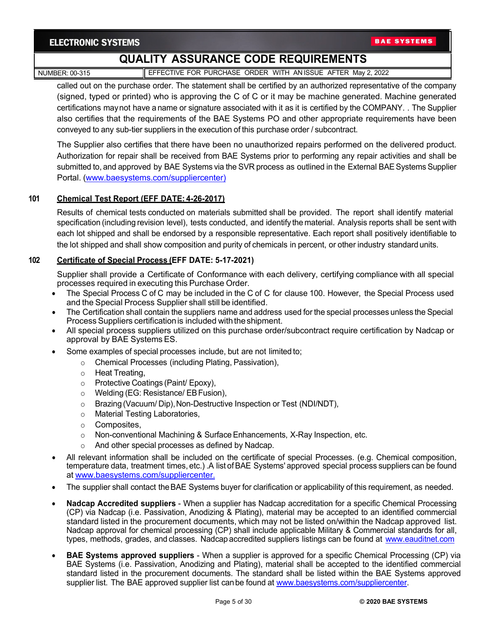NUMBER: 00-315 **EFFECTIVE FOR PURCHASE ORDER WITH AN ISSUE AFTER May 2, 2022** 

called out on the purchase order. The statement shall be certified by an authorized representative of the company (signed, typed or printed) who is approving the C of C or it may be machine generated. Machine generated certifications maynot have a name or signature associated with it as it is certified by the COMPANY. . The Supplier also certifies that the requirements of the BAE Systems PO and other appropriate requirements have been conveyed to any sub-tier suppliers in the execution of this purchase order / subcontract.

The Supplier also certifies that there have been no unauthorized repairs performed on the delivered product. Authorization for repair shall be received from BAE Systems prior to performing any repair activities and shall be submitted to, and approved by BAE Systems via the SVR process as outlined in the External BAESystems Supplier Portal. [\(www.baesystems.com/suppliercenter\)](http://www.baesystems.com/suppliercenter)

### **101 Chemical Test Report (EFF DATE: 4-26-2017)**

Results of chemical tests conducted on materials submitted shall be provided. The report shall identify material specification (including revision level), tests conducted, and identify the material. Analysis reports shall be sent with each lot shipped and shall be endorsed by a responsible representative. Each report shall positively identifiable to the lot shipped and shall show composition and purity of chemicals in percent, or other industry standard units.

### **102 Certificate of Special Process (EFF DATE: 5-17-2021)**

Supplier shall provide a Certificate of Conformance with each delivery, certifying compliance with all special processes required in executing this Purchase Order.

- The Special Process C of C may be included in the C of C for clause 100. However, the Special Process used and the Special Process Supplier shall still be identified.
- The Certification shall contain the suppliers name and address used for the special processes unless the Special Process Suppliers certification is included with the shipment.
- All special process suppliers utilized on this purchase order/subcontract require certification by Nadcap or approval by BAE Systems ES.
- Some examples of special processes include, but are not limited to;
	- o Chemical Processes (including Plating, Passivation),
	- o Heat Treating,
	- o Protective Coatings (Paint/ Epoxy),
	- o Welding (EG: Resistance/ EBFusion),
	- o Brazing (Vacuum/ Dip),Non-Destructive Inspection or Test (NDI/NDT),
	- o Material Testing Laboratories,
	- o Composites,
	- $\circ$  Non-conventional Machining & Surface Enhancements, X-Ray Inspection, etc.
	- o And other special processes as defined by Nadcap.
- All relevant information shall be included on the certificate of special Processes. (e.g. Chemical composition, temperature data, treatment times, etc.) .A list ofBAE Systems' approved special process suppliers can be found at [www.baesystems.com/suppliercenter.](http://www.baesystems.com/suppliercenter)
- The supplier shall contact theBAE Systems buyer for clarification or applicability of this requirement, as needed.
- **Nadcap Accredited suppliers**  When a supplier has Nadcap accreditation for a specific Chemical Processing (CP) via Nadcap (i.e. Passivation, Anodizing & Plating), material may be accepted to an identified commercial standard listed in the procurement documents, which may not be listed on/within the Nadcap approved list. Nadcap approval for chemical processing (CP) shall include applicable Military & Commercial standards for all, types, methods, grades, and classes. Nadcap accredited suppliers listings can be found at [www.eauditnet.com](http://www.eauditnet.com/)
- **BAE Systems approved suppliers**  When a supplier is approved for a specific Chemical Processing (CP) via BAE Systems (i.e. Passivation, Anodizing and Plating), material shall be accepted to the identified commercial standard listed in the procurement documents. The standard shall be listed within the BAE Systems approved supplier list. The BAE approved supplier list can be found at [www.baesystems.com/suppliercenter.](http://www.baesystems.com/suppliercenter)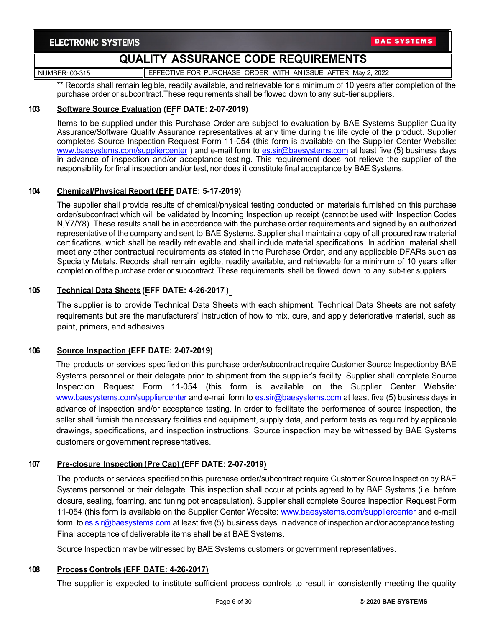NUMBER: 00-315 **EFFECTIVE FOR PURCHASE ORDER WITH AN ISSUE AFTER May 2, 2022** 

\*\* Records shall remain legible, readily available, and retrievable for a minimum of 10 years after completion of the purchase order or subcontract.These requirements shall be flowed down to any sub-tier suppliers.

### **103 Software Source Evaluation (EFF DATE: 2-07-2019)**

Items to be supplied under this Purchase Order are subject to evaluation by BAE Systems Supplier Quality Assurance/Software Quality Assurance representatives at any time during the life cycle of the product. Supplier completes Source Inspection Request Form 11-054 (this form is available on the Supplier Center Website: [www.baesystems.com/suppliercenter](http://www.baesystems.com/suppliercenter) ) and e-mail form to [es.sir@baesystems.com](mailto:es.sir@baesystems.com) at least five (5) business days in advance of inspection and/or acceptance testing. This requirement does not relieve the supplier of the responsibility for final inspection and/or test, nor does it constitute final acceptance by BAE Systems.

#### **104 Chemical/Physical Report (EFF DATE: 5-17-2019)**

The supplier shall provide results of chemical/physical testing conducted on materials furnished on this purchase order/subcontract which will be validated by Incoming Inspection up receipt (cannotbe used with Inspection Codes N,Y7/Y8). These results shall be in accordance with the purchase order requirements and signed by an authorized representative of the company and sent to BAE Systems. Supplier shall maintain a copy of all procured raw material certifications, which shall be readily retrievable and shall include material specifications. In addition, material shall meet any other contractual requirements as stated in the Purchase Order, and any applicable DFARs such as Specialty Metals. Records shall remain legible, readily available, and retrievable for a minimum of 10 years after completion of the purchase order or subcontract.These requirements shall be flowed down to any sub-tier suppliers.

### **105 Technical Data Sheets (EFF DATE: 4-26-2017 )**

The supplier is to provide Technical Data Sheets with each shipment. Technical Data Sheets are not safety requirements but are the manufacturers' instruction of how to mix, cure, and apply deteriorative material, such as paint, primers, and adhesives.

### **106 Source Inspection (EFF DATE: 2-07-2019)**

The products or services specified on this purchase order/subcontract require Customer Source Inspectionby BAE Systems personnel or their delegate prior to shipment from the supplier's facility. Supplier shall complete Source Inspection Request Form 11-054 (this form is available on the Supplier Center Website: [www.baesystems.com/suppliercenter](http://www.baesystems.com/suppliercenter) and e-mail form to [es.sir@baesystems.com](mailto:es.sir@baesystems.com) at least five (5) business days in advance of inspection and/or acceptance testing. In order to facilitate the performance of source inspection, the seller shall furnish the necessary facilities and equipment, supply data, and perform tests as required by applicable drawings, specifications, and inspection instructions. Source inspection may be witnessed by BAE Systems customers or government representatives.

### **107 Pre-closure Inspection (Pre Cap) (EFF DATE: 2-07-2019)**

The products or services specified on this purchase order/subcontract require Customer Source Inspection by BAE Systems personnel or their delegate. This inspection shall occur at points agreed to by BAE Systems (i.e. before closure, sealing, foaming, and tuning pot encapsulation). Supplier shall complete Source Inspection Request Form 11-054 (this form is available on the Supplier Center Website: [www.baesystems.com/suppliercenter](http://www.baesystems.com/suppliercenter) and e-mail form to [es.sir@baesystems.com](mailto:es.sir@baesystems.com) at least five (5) business days in advance of inspection and/or acceptance testing. Final acceptance of deliverable items shall be at BAE Systems.

Source Inspection may be witnessed by BAE Systems customers or government representatives.

#### **108 Process Controls (EFF DATE: 4-26-2017)**

The supplier is expected to institute sufficient process controls to result in consistently meeting the quality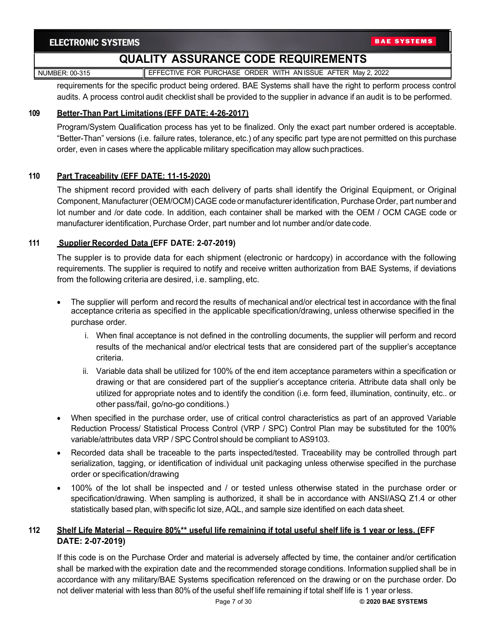# **QUALITY ASSURANCE CODE REQUIREMENTS**

NUMBER: 00-315 **EFFECTIVE FOR PURCHASE ORDER WITH AN ISSUE AFTER May 2, 2022** 

requirements for the specific product being ordered. BAE Systems shall have the right to perform process control audits. A process control audit checklist shall be provided to the supplier in advance if an audit is to be performed.

### **109 Better-Than Part Limitations (EFF DATE: 4-26-2017)**

Program/System Qualification process has yet to be finalized. Only the exact part number ordered is acceptable. "Better-Than" versions (i.e. failure rates, tolerance, etc.) of any specific part type are not permitted on this purchase order, even in cases where the applicable military specification may allow suchpractices.

### **110 Part Traceability (EFF DATE: 11-15-2020)**

The shipment record provided with each delivery of parts shall identify the Original Equipment, or Original Component, Manufacturer (OEM/OCM) CAGE code or manufacturer identification, Purchase Order, part number and lot number and /or date code. In addition, each container shall be marked with the OEM / OCM CAGE code or manufacturer identification, Purchase Order, part number and lot number and/or date code.

### **111 Supplier Recorded Data (EFF DATE: 2-07-2019)**

The suppler is to provide data for each shipment (electronic or hardcopy) in accordance with the following requirements. The supplier is required to notify and receive written authorization from BAE Systems, if deviations from the following criteria are desired, i.e. sampling, etc.

- The supplier will perform and record the results of mechanical and/or electrical test in accordance with the final acceptance criteria as specified in the applicable specification/drawing, unless otherwise specified in the purchase order.
	- i. When final acceptance is not defined in the controlling documents, the supplier will perform and record results of the mechanical and/or electrical tests that are considered part of the supplier's acceptance criteria.
	- ii. Variable data shall be utilized for 100% of the end item acceptance parameters within a specification or drawing or that are considered part of the supplier's acceptance criteria. Attribute data shall only be utilized for appropriate notes and to identify the condition (i.e. form feed, illumination, continuity, etc.. or other pass/fail, go/no-go conditions.)
- When specified in the purchase order, use of critical control characteristics as part of an approved Variable Reduction Process/ Statistical Process Control (VRP / SPC) Control Plan may be substituted for the 100% variable/attributes data VRP / SPC Control should be compliant to AS9103.
- Recorded data shall be traceable to the parts inspected/tested. Traceability may be controlled through part serialization, tagging, or identification of individual unit packaging unless otherwise specified in the purchase order or specification/drawing
- 100% of the lot shall be inspected and / or tested unless otherwise stated in the purchase order or specification/drawing. When sampling is authorized, it shall be in accordance with ANSI/ASQ Z1.4 or other statistically based plan, with specific lot size, AQL, and sample size identified on each data sheet.

# **112 Shelf Life Material – Require 80%\*\* useful life remaining if total useful shelf life is 1 year or less. (EFF DATE: 2-07-2019)**

If this code is on the Purchase Order and material is adversely affected by time, the container and/or certification shall be marked with the expiration date and the recommended storage conditions. Information supplied shall be in accordance with any military/BAE Systems specification referenced on the drawing or on the purchase order. Do not deliver material with less than 80% of the useful shelf life remaining if total shelf life is 1 year orless.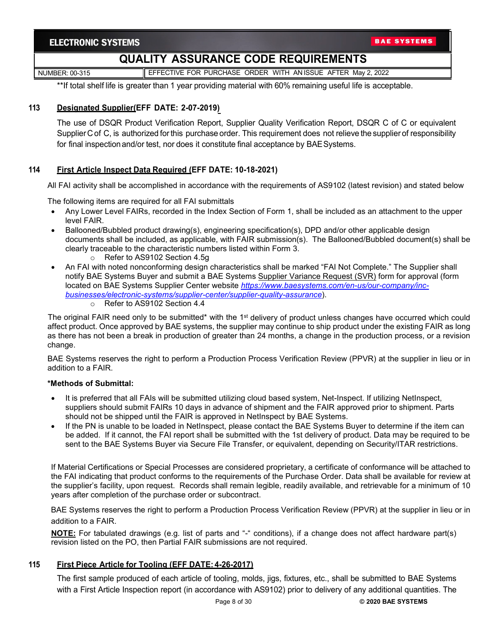NUMBER: 00-315 **EFFECTIVE FOR PURCHASE ORDER WITH AN ISSUE AFTER May 2, 2022** 

\*\*If total shelf life is greater than 1 year providing material with 60% remaining useful life is acceptable.

### **113 Designated Supplier(EFF DATE: 2-07-2019)**

The use of DSQR Product Verification Report, Supplier Quality Verification Report, DSQR C of C or equivalent Supplier C of C, is authorized forthis purchase order. This requirement does not relieve the supplier of responsibility for final inspection and/or test, nor does it constitute final acceptance by BAE Systems.

### **114 First Article Inspect Data Required (EFF DATE: 10-18-2021)**

All FAI activity shall be accomplished in accordance with the requirements of AS9102 (latest revision) and stated below

The following items are required for all FAI submittals

- Any Lower Level FAIRs, recorded in the Index Section of Form 1, shall be included as an attachment to the upper level FAIR.
- Ballooned/Bubbled product drawing(s), engineering specification(s), DPD and/or other applicable design documents shall be included, as applicable, with FAIR submission(s). The Ballooned/Bubbled document(s) shall be clearly traceable to the characteristic numbers listed within Form 3.
	- o Refer to AS9102 Section 4.5g
- An FAI with noted nonconforming design characteristics shall be marked "FAI Not Complete." The Supplier shall notify BAE Systems Buyer and submit a BAE Systems Supplier Variance Request (SVR) form for approval (form located on BAE Systems Supplier Center website *[https://www.baesystems.com/en-us/our-company/inc](https://www.baesystems.com/en-us/our-company/inc-businesses/electronic-systems/supplier-center/supplier-quality-assurance)[businesses/electronic-systems/supplier-center/supplier-quality-assurance](https://www.baesystems.com/en-us/our-company/inc-businesses/electronic-systems/supplier-center/supplier-quality-assurance)*).
	- o Refer to AS9102 Section 4.4

The original FAIR need only to be submitted\* with the 1<sup>st</sup> delivery of product unless changes have occurred which could affect product. Once approved by BAE systems, the supplier may continue to ship product under the existing FAIR as long as there has not been a break in production of greater than 24 months, a change in the production process, or a revision change.

BAE Systems reserves the right to perform a Production Process Verification Review (PPVR) at the supplier in lieu or in addition to a FAIR.

#### **\*Methods of Submittal:**

- It is preferred that all FAIs will be submitted utilizing cloud based system, Net-Inspect. If utilizing NetInspect, suppliers should submit FAIRs 10 days in advance of shipment and the FAIR approved prior to shipment. Parts should not be shipped until the FAIR is approved in NetInspect by BAE Systems.
- If the PN is unable to be loaded in NetInspect, please contact the BAE Systems Buyer to determine if the item can be added. If it cannot, the FAI report shall be submitted with the 1st delivery of product. Data may be required to be sent to the BAE Systems Buyer via Secure File Transfer, or equivalent, depending on Security/ITAR restrictions.

If Material Certifications or Special Processes are considered proprietary, a certificate of conformance will be attached to the FAI indicating that product conforms to the requirements of the Purchase Order. Data shall be available for review at the supplier's facility, upon request. Records shall remain legible, readily available, and retrievable for a minimum of 10 years after completion of the purchase order or subcontract.

BAE Systems reserves the right to perform a Production Process Verification Review (PPVR) at the supplier in lieu or in addition to a FAIR.

**NOTE:** For tabulated drawings (e.g. list of parts and "-" conditions), if a change does not affect hardware part(s) revision listed on the PO, then Partial FAIR submissions are not required.

### **115 First Piece Article for Tooling (EFF DATE: 4-26-2017)**

The first sample produced of each article of tooling, molds, jigs, fixtures, etc., shall be submitted to BAE Systems with a First Article Inspection report (in accordance with AS9102) prior to delivery of any additional quantities. The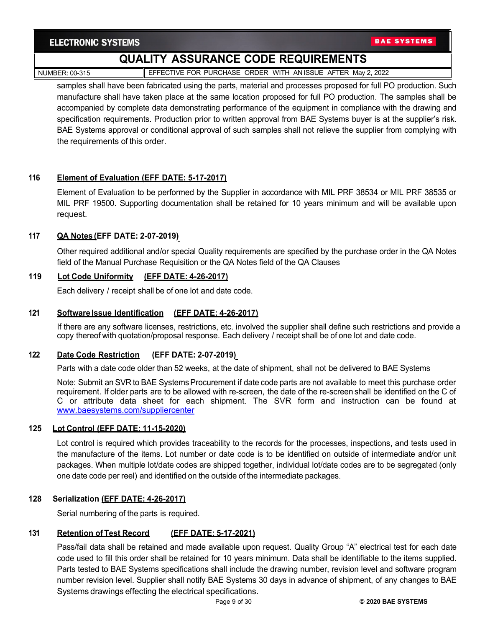**BAE SYSTEMS** 

# **QUALITY ASSURANCE CODE REQUIREMENTS**

NUMBER: 00-315 **EFFECTIVE FOR PURCHASE ORDER WITH AN ISSUE AFTER May 2, 2022** 

samples shall have been fabricated using the parts, material and processes proposed for full PO production. Such manufacture shall have taken place at the same location proposed for full PO production. The samples shall be accompanied by complete data demonstrating performance of the equipment in compliance with the drawing and specification requirements. Production prior to written approval from BAE Systems buyer is at the supplier's risk. BAE Systems approval or conditional approval of such samples shall not relieve the supplier from complying with the requirements of this order.

### **116 Element of Evaluation (EFF DATE: 5-17-2017)**

Element of Evaluation to be performed by the Supplier in accordance with MIL PRF 38534 or MIL PRF 38535 or MIL PRF 19500. Supporting documentation shall be retained for 10 years minimum and will be available upon request.

### **117 QA Notes (EFF DATE: 2-07-2019)**

Other required additional and/or special Quality requirements are specified by the purchase order in the QA Notes field of the Manual Purchase Requisition or the QA Notes field of the QA Clauses

### **119 Lot Code Uniformity (EFF DATE: 4-26-2017)**

Each delivery / receipt shall be of one lot and date code.

# **121 Software Issue Identification (EFF DATE: 4-26-2017)**

If there are any software licenses, restrictions, etc. involved the supplier shall define such restrictions and provide a copy thereof with quotation/proposal response. Each delivery / receipt shall be of one lot and date code.

### **122 Date Code Restriction (EFF DATE: 2-07-2019)**

Parts with a date code older than 52 weeks, at the date of shipment, shall not be delivered to BAE Systems

Note: Submit an SVR to BAE Systems Procurement if date code parts are not available to meet this purchase order requirement. If older parts are to be allowed with re-screen, the date of the re-screen shall be identified on the C of C or attribute data sheet for each shipment. The SVR form and instruction can be found at [www.baesystems.com/suppliercenter](http://www.baesystems.com/suppliercenter)

### **125 Lot Control (EFF DATE: 11-15-2020)**

Lot control is required which provides traceability to the records for the processes, inspections, and tests used in the manufacture of the items. Lot number or date code is to be identified on outside of intermediate and/or unit packages. When multiple lot/date codes are shipped together, individual lot/date codes are to be segregated (only one date code per reel) and identified on the outside of the intermediate packages.

### **128 Serialization (EFF DATE: 4-26-2017)**

Serial numbering of the parts is required.

### **131 Retention of Test Record (EFF DATE: 5-17-2021)**

Pass/fail data shall be retained and made available upon request. Quality Group "A" electrical test for each date code used to fill this order shall be retained for 10 years minimum. Data shall be identifiable to the items supplied. Parts tested to BAE Systems specifications shall include the drawing number, revision level and software program number revision level. Supplier shall notify BAE Systems 30 days in advance of shipment, of any changes to BAE Systems drawings effecting the electrical specifications.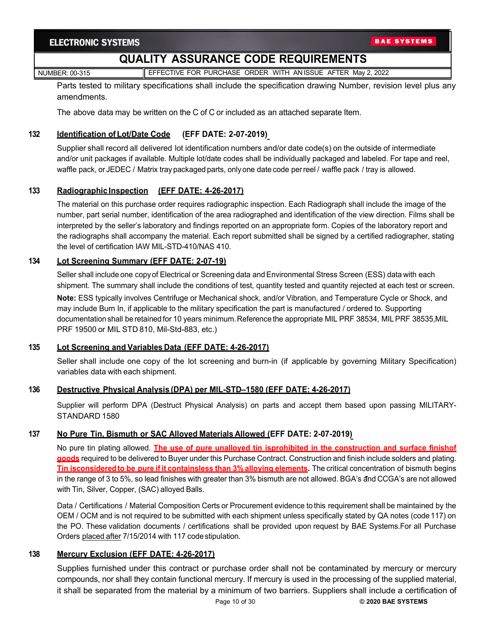# **QUALITY ASSURANCE CODE REQUIREMENTS**

NUMBER: 00-315 **EFFECTIVE FOR PURCHASE ORDER WITH AN ISSUE AFTER May 2, 2022** 

Parts tested to military specifications shall include the specification drawing Number, revision level plus any amendments.

The above data may be written on the C of C or included as an attached separate Item.

# **132 Identification of Lot/Date Code (EFF DATE: 2-07-2019)**

Supplier shall record all delivered lot identification numbers and/or date code(s) on the outside of intermediate and/or unit packages if available. Multiple lot/date codes shall be individually packaged and labeled. For tape and reel, waffle pack, or JEDEC / Matrix tray packaged parts, onlyone date code perreel / waffle pack / tray is allowed.

### **133 Radiographic Inspection (EFF DATE: 4-26-2017)**

The material on this purchase order requires radiographic inspection. Each Radiograph shall include the image of the number, part serial number, identification of the area radiographed and identification of the view direction. Films shall be interpreted by the seller's laboratory and findings reported on an appropriate form. Copies of the laboratory report and the radiographs shall accompany the material. Each report submitted shall be signed by a certified radiographer, stating the level of certification IAW MIL-STD-410/NAS 410.

### **134 Lot Screening Summary (EFF DATE: 2-07-19)**

Seller shall include one copyof Electrical or Screening data and Environmental Stress Screen (ESS) data with each shipment. The summary shall include the conditions of test, quantity tested and quantity rejected at each test or screen.

**Note:** ESS typically involves Centrifuge or Mechanical shock, and/or Vibration, and Temperature Cycle or Shock, and may include Burn In, if applicable to the military specification the part is manufactured / ordered to. Supporting documentation shall be retained for 10 years minimum.Reference the appropriate MIL PRF 38534, MILPRF 38535,MIL PRF 19500 or MIL STD 810, Mil-Std-883, etc.)

### **135 Lot Screening and Variables Data (EFF DATE: 4-26-2017)**

Seller shall include one copy of the lot screening and burn-in (if applicable by governing Military Specification) variables data with each shipment.

### **136 Destructive Physical Analysis (DPA) per MIL-STD–1580 (EFF DATE: 4-26-2017)**

Supplier will perform DPA (Destruct Physical Analysis) on parts and accept them based upon passing MILITARY-STANDARD 1580

### **137 No Pure Tin, Bismuth or SAC Alloyed Materials Allowed (EFF DATE: 2-07-2019)**

No pure tin plating allowed. **The use of pure unalloyed tin isprohibited in the construction and surface finishof goods** required to be delivered to Buyer under this Purchase Contract. Construction and finish include solders and plating. **Tin isconsideredto be pure if it containsless than 3% alloying elements.** The critical concentration of bismuth begins in the range of 3 to 5%, so lead finishes with greater than 3% bismuth are not allowed. BGA's and CCGA's are not allowed with Tin, Silver, Copper, (SAC) alloyed Balls.

Data / Certifications / Material Composition Certs or Procurement evidence to this requirement shall be maintained by the OEM / OCM and is not required to be submitted with each shipment unless specifically stated by QA notes (code 117) on the PO. These validation documents / certifications shall be provided upon request by BAE Systems.For all Purchase Orders placed after 7/15/2014 with 117 codestipulation.

### **138 Mercury Exclusion (EFF DATE: 4-26-2017)**

Supplies furnished under this contract or purchase order shall not be contaminated by mercury or mercury compounds, nor shall they contain functional mercury. If mercury is used in the processing of the supplied material, it shall be separated from the material by a minimum of two barriers. Suppliers shall include a certification of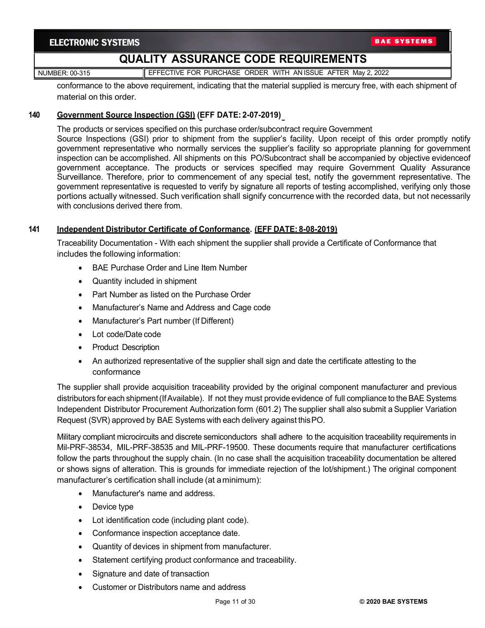NUMBER: 00-315 **EFFECTIVE FOR PURCHASE ORDER WITH AN ISSUE AFTER May 2, 2022** 

conformance to the above requirement, indicating that the material supplied is mercury free, with each shipment of material on this order.

### **140 Government Source Inspection (GSI) (EFF DATE: 2-07-2019)**

The products or services specified on this purchase order/subcontract require Government Source Inspections (GSI) prior to shipment from the supplier's facility. Upon receipt of this order promptly notify government representative who normally services the supplier's facility so appropriate planning for government inspection can be accomplished. All shipments on this PO/Subcontract shall be accompanied by objective evidenceof government acceptance. The products or services specified may require Government Quality Assurance Surveillance. Therefore, prior to commencement of any special test, notify the government representative. The government representative is requested to verify by signature all reports of testing accomplished, verifying only those portions actually witnessed. Such verification shall signify concurrence with the recorded data, but not necessarily with conclusions derived there from.

### **141 Independent Distributor Certificate of Conformance. (EFF DATE: 8-08-2019)**

Traceability Documentation - With each shipment the supplier shall provide a Certificate of Conformance that includes the following information:

- BAE Purchase Order and Line Item Number
- Quantity included in shipment
- Part Number as listed on the Purchase Order
- Manufacturer's Name and Address and Cage code
- Manufacturer's Part number (If Different)
- Lot code/Date code
- Product Description
- An authorized representative of the supplier shall sign and date the certificate attesting to the conformance

The supplier shall provide acquisition traceability provided by the original component manufacturer and previous distributors for each shipment(IfAvailable). If not they must provide evidence of full compliance to the BAE Systems Independent Distributor Procurement Authorization form (601.2) The supplier shall also submit a Supplier Variation Request (SVR) approved by BAE Systems with each delivery against thisPO.

Military compliant microcircuits and discrete semiconductors shall adhere to the acquisition traceability requirements in Mil-PRF-38534, MIL-PRF-38535 and MIL-PRF-19500. These documents require that manufacturer certifications follow the parts throughout the supply chain. (In no case shall the acquisition traceability documentation be altered or shows signs of alteration. This is grounds for immediate rejection of the lot/shipment.) The original component manufacturer's certification shall include (at a minimum):

- Manufacturer's name and address.
- Device type
- Lot identification code (including plant code).
- Conformance inspection acceptance date.
- Quantity of devices in shipment from manufacturer.
- Statement certifying product conformance and traceability.
- Signature and date of transaction
- Customer or Distributors name and address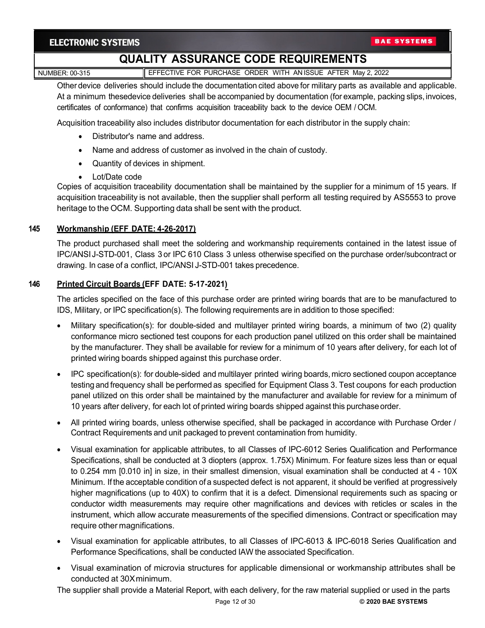# **QUALITY ASSURANCE CODE REQUIREMENTS**

NUMBER: 00-315 **EFFECTIVE FOR PURCHASE ORDER WITH AN ISSUE AFTER May 2, 2022** 

Other device deliveries should include the documentation cited above for military parts as available and applicable. At a minimum thesedevice deliveries shall be accompanied by documentation (for example, packing slips,invoices, certificates of conformance) that confirms acquisition traceability back to the device OEM / OCM.

Acquisition traceability also includes distributor documentation for each distributor in the supply chain:

- Distributor's name and address.
- Name and address of customer as involved in the chain of custody.
- Quantity of devices in shipment.
- Lot/Date code

Copies of acquisition traceability documentation shall be maintained by the supplier for a minimum of 15 years. If acquisition traceability is not available, then the supplier shall perform all testing required by AS5553 to prove heritage to the OCM. Supporting data shall be sent with the product.

### **145 Workmanship (EFF DATE: 4-26-2017)**

The product purchased shall meet the soldering and workmanship requirements contained in the latest issue of IPC/ANSI J-STD-001, Class 3 or IPC 610 Class 3 unless otherwise specified on the purchase order/subcontract or drawing. In case of a conflict, IPC/ANSI J-STD-001 takes precedence.

### **146 Printed Circuit Boards (EFF DATE: 5-17-2021)**

The articles specified on the face of this purchase order are printed wiring boards that are to be manufactured to IDS, Military, or IPC specification(s). The following requirements are in addition to those specified:

- Military specification(s): for double-sided and multilayer printed wiring boards, a minimum of two (2) quality conformance micro sectioned test coupons for each production panel utilized on this order shall be maintained by the manufacturer. They shall be available for review for a minimum of 10 years after delivery, for each lot of printed wiring boards shipped against this purchase order.
- IPC specification(s): for double-sided and multilayer printed wiring boards, micro sectioned coupon acceptance testing and frequency shall be performed as specified for Equipment Class 3. Test coupons for each production panel utilized on this order shall be maintained by the manufacturer and available for review for a minimum of 10 years after delivery, for each lot of printed wiring boards shipped against this purchase order.
- All printed wiring boards, unless otherwise specified, shall be packaged in accordance with Purchase Order / Contract Requirements and unit packaged to prevent contamination from humidity.
- Visual examination for applicable attributes, to all Classes of IPC-6012 Series Qualification and Performance Specifications, shall be conducted at 3 diopters (approx. 1.75X) Minimum. For feature sizes less than or equal to 0.254 mm [0.010 in] in size, in their smallest dimension, visual examination shall be conducted at 4 - 10X Minimum. If the acceptable condition of a suspected defect is not apparent, it should be verified at progressively higher magnifications (up to 40X) to confirm that it is a defect. Dimensional requirements such as spacing or conductor width measurements may require other magnifications and devices with reticles or scales in the instrument, which allow accurate measurements of the specified dimensions. Contract or specification may require other magnifications.
- Visual examination for applicable attributes, to all Classes of IPC-6013 & IPC-6018 Series Qualification and Performance Specifications, shall be conducted IAW the associated Specification.
- Visual examination of microvia structures for applicable dimensional or workmanship attributes shall be conducted at 30Xminimum.

The supplier shall provide a Material Report, with each delivery, for the raw material supplied or used in the parts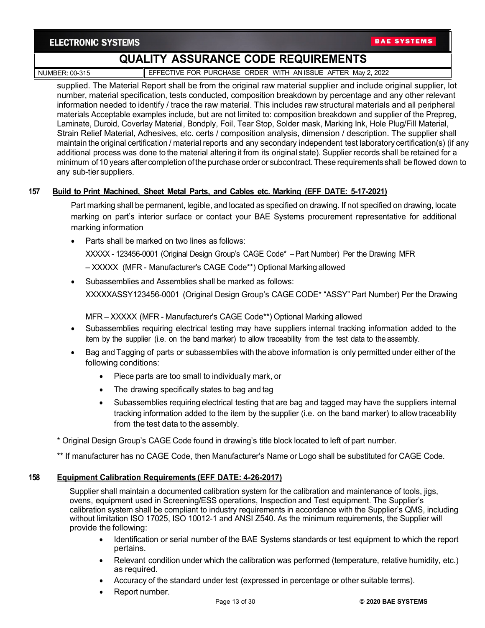**BAE SYSTEMS** 

# **QUALITY ASSURANCE CODE REQUIREMENTS**

NUMBER: 00-315 **EFFECTIVE FOR PURCHASE ORDER WITH AN ISSUE AFTER May 2, 2022** 

supplied. The Material Report shall be from the original raw material supplier and include original supplier, lot number, material specification, tests conducted, composition breakdown by percentage and any other relevant information needed to identify / trace the raw material. This includes raw structural materials and all peripheral materials Acceptable examples include, but are not limited to: composition breakdown and supplier of the Prepreg, Laminate, Duroid, Coverlay Material, Bondply, Foil, Tear Stop, Solder mask, Marking Ink, Hole Plug/Fill Material, Strain Relief Material, Adhesives, etc. certs / composition analysis, dimension / description. The supplier shall maintain the original certification / material reports and any secondary independent test laboratory certification(s) (if any additional process was done to the material altering it from its original state). Supplier records shall be retained for a minimum of10 years after completion ofthe purchase order or subcontract.These requirements shall be flowed down to any sub-tier suppliers.

### **157 Build to Print Machined, Sheet Metal Parts, and Cables etc. Marking (EFF DATE: 5-17-2021)**

Part marking shall be permanent, legible, and located as specified on drawing. If not specified on drawing, locate marking on part's interior surface or contact your BAE Systems procurement representative for additional marking information

• Parts shall be marked on two lines as follows:

XXXXX - 123456-0001 (Original Design Group's CAGE Code\* – Part Number) Per the Drawing MFR

- XXXXX (MFR Manufacturer's CAGE Code\*\*) Optional Marking allowed
- Subassemblies and Assemblies shall be marked as follows: XXXXXASSY123456-0001 (Original Design Group's CAGE CODE\* "ASSY" Part Number) Per the Drawing

MFR – XXXXX (MFR - Manufacturer's CAGE Code\*\*) Optional Marking allowed

- Subassemblies requiring electrical testing may have suppliers internal tracking information added to the item by the supplier (i.e. on the band marker) to allow traceability from the test data to the assembly.
- Bag and Tagging of parts or subassemblies with the above information is only permitted under either of the following conditions:
	- Piece parts are too small to individually mark, or
	- The drawing specifically states to bag and tag
	- Subassemblies requiring electrical testing that are bag and tagged may have the suppliers internal tracking information added to the item by the supplier (i.e. on the band marker) to allow traceability from the test data to the assembly.
- \* Original Design Group's CAGE Code found in drawing's title block located to left of part number.
- \*\* If manufacturer has no CAGE Code, then Manufacturer's Name or Logo shall be substituted for CAGE Code.

### **158 Equipment Calibration Requirements (EFF DATE: 4-26-2017)**

Supplier shall maintain a documented calibration system for the calibration and maintenance of tools, jigs, ovens, equipment used in Screening/ESS operations, Inspection and Test equipment. The Supplier's calibration system shall be compliant to industry requirements in accordance with the Supplier's QMS, including without limitation ISO 17025, ISO 10012-1 and ANSI Z540. As the minimum requirements, the Supplier will provide the following:

- Identification or serial number of the BAE Systems standards or test equipment to which the report pertains.
- Relevant condition under which the calibration was performed (temperature, relative humidity, etc.) as required.
- Accuracy of the standard under test (expressed in percentage or other suitable terms).
- Report number.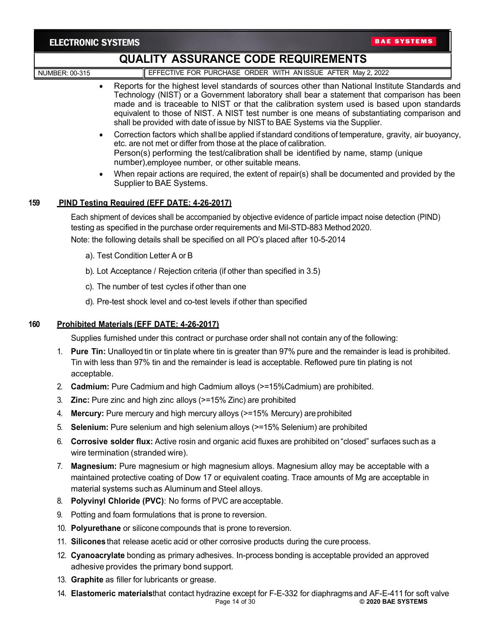| <b>ELECTRONIC SYSTEMS</b> |
|---------------------------|
|---------------------------|

|     | ELEVIRUNIU JIJIEMJ                                                                                                                                                                                                                                                                                                                                                                                                                                                                         |  |  |
|-----|--------------------------------------------------------------------------------------------------------------------------------------------------------------------------------------------------------------------------------------------------------------------------------------------------------------------------------------------------------------------------------------------------------------------------------------------------------------------------------------------|--|--|
|     | <b>QUALITY ASSURANCE CODE REQUIREMENTS</b>                                                                                                                                                                                                                                                                                                                                                                                                                                                 |  |  |
|     | EFFECTIVE FOR PURCHASE ORDER WITH ANISSUE AFTER May 2, 2022<br><b>NUMBER: 00-315</b>                                                                                                                                                                                                                                                                                                                                                                                                       |  |  |
|     | Reports for the highest level standards of sources other than National Institute Standards and<br>$\bullet$<br>Technology (NIST) or a Government laboratory shall bear a statement that comparison has been<br>made and is traceable to NIST or that the calibration system used is based upon standards<br>equivalent to those of NIST. A NIST test number is one means of substantiating comparison and<br>shall be provided with date of issue by NIST to BAE Systems via the Supplier. |  |  |
|     | Correction factors which shall be applied if standard conditions of temperature, gravity, air buoyancy,<br>$\bullet$<br>etc. are not met or differ from those at the place of calibration.<br>Person(s) performing the test/calibration shall be identified by name, stamp (unique<br>number), employee number, or other suitable means.                                                                                                                                                   |  |  |
|     | When repair actions are required, the extent of repair(s) shall be documented and provided by the<br>$\bullet$<br>Supplier to BAE Systems.                                                                                                                                                                                                                                                                                                                                                 |  |  |
| 159 | PIND Testing Required (EFF DATE: 4-26-2017)                                                                                                                                                                                                                                                                                                                                                                                                                                                |  |  |
|     | Each shipment of devices shall be accompanied by objective evidence of particle impact noise detection (PIND)<br>testing as specified in the purchase order requirements and Mil-STD-883 Method 2020.<br>Note: the following details shall be specified on all PO's placed after 10-5-2014                                                                                                                                                                                                 |  |  |
|     | a). Test Condition Letter A or B                                                                                                                                                                                                                                                                                                                                                                                                                                                           |  |  |
|     | b). Lot Acceptance / Rejection criteria (if other than specified in 3.5)                                                                                                                                                                                                                                                                                                                                                                                                                   |  |  |
|     | c). The number of test cycles if other than one                                                                                                                                                                                                                                                                                                                                                                                                                                            |  |  |
|     | d). Pre-test shock level and co-test levels if other than specified                                                                                                                                                                                                                                                                                                                                                                                                                        |  |  |
| 160 | Prohibited Materials (EFF DATE: 4-26-2017)                                                                                                                                                                                                                                                                                                                                                                                                                                                 |  |  |
|     | Supplies furnished under this contract or purchase order shall not contain any of the following:                                                                                                                                                                                                                                                                                                                                                                                           |  |  |
| 1.  | <b>Pure Tin:</b> Unalloyed tin or tin plate where tin is greater than 97% pure and the remainder is lead is prohibited.<br>Tin with less than 97% tin and the remainder is lead is acceptable. Reflowed pure tin plating is not<br>acceptable.                                                                                                                                                                                                                                             |  |  |
|     | 2. Cadmium: Pure Cadmium and high Cadmium alloys (>=15%Cadmium) are prohibited.                                                                                                                                                                                                                                                                                                                                                                                                            |  |  |
|     | Zinc: Pure zinc and high zinc alloys (>=15% Zinc) are prohibited                                                                                                                                                                                                                                                                                                                                                                                                                           |  |  |
| 4.  | Mercury: Pure mercury and high mercury alloys (>=15% Mercury) are prohibited                                                                                                                                                                                                                                                                                                                                                                                                               |  |  |
| 5.  | Selenium: Pure selenium and high selenium alloys (>=15% Selenium) are prohibited                                                                                                                                                                                                                                                                                                                                                                                                           |  |  |
| 6.  | Corrosive solder flux: Active rosin and organic acid fluxes are prohibited on "closed" surfaces such as a<br>wire termination (stranded wire).                                                                                                                                                                                                                                                                                                                                             |  |  |
| 7.  | Magnesium: Pure magnesium or high magnesium alloys. Magnesium alloy may be acceptable with a<br>maintained protective coating of Dow 17 or equivalent coating. Trace amounts of Mg are acceptable in<br>material systems such as Aluminum and Steel alloys.                                                                                                                                                                                                                                |  |  |
| 8.  | Polyvinyl Chloride (PVC): No forms of PVC are acceptable.                                                                                                                                                                                                                                                                                                                                                                                                                                  |  |  |
| 9.  | Potting and foam formulations that is prone to reversion.                                                                                                                                                                                                                                                                                                                                                                                                                                  |  |  |
|     | 10. Polyurethane or silicone compounds that is prone to reversion.                                                                                                                                                                                                                                                                                                                                                                                                                         |  |  |
|     | 11. Silicones that release acetic acid or other corrosive products during the cure process.                                                                                                                                                                                                                                                                                                                                                                                                |  |  |
|     | 12. Cyanoacrylate bonding as primary adhesives. In-process bonding is acceptable provided an approved<br>adhesive provides the primary bond support.                                                                                                                                                                                                                                                                                                                                       |  |  |

- 13. **Graphite** as filler for lubricants or grease.
- Page 14 of 30 **© 2020 BAE SYSTEMS** 14. **Elastomeric materials**that contact hydrazine except for F-E-332 for diaphragmsand AF-E-411 for soft valve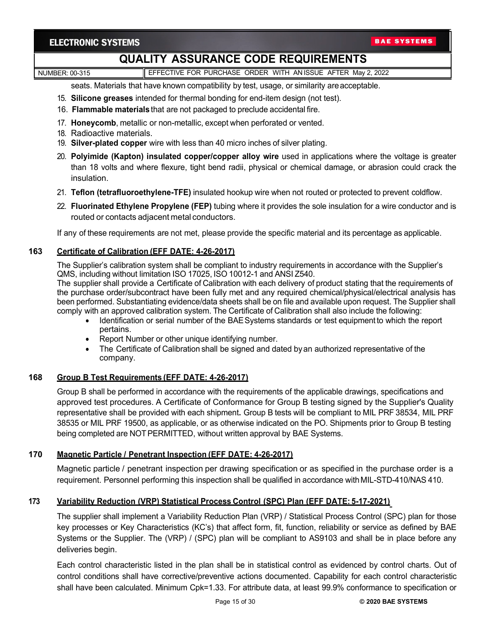NUMBER: 00-315 **EFFECTIVE FOR PURCHASE ORDER WITH AN ISSUE AFTER May 2, 2022** 

seats. Materials that have known compatibility by test, usage, or similarity areacceptable.

- 15. **Silicone greases** intended for thermal bonding for end-item design (not test).
- 16. **Flammable materials** that are not packaged to preclude accidental fire.
- 17. **Honeycomb**, metallic or non-metallic, except when perforated or vented.
- 18. Radioactive materials.
- 19. **Silver-plated copper** wire with less than 40 micro inches of silver plating.
- 20. **Polyimide (Kapton) insulated copper/copper alloy wire** used in applications where the voltage is greater than 18 volts and where flexure, tight bend radii, physical or chemical damage, or abrasion could crack the insulation.
- 21. **Teflon (tetrafluoroethylene-TFE)** insulated hookup wire when not routed or protected to prevent coldflow.
- 22. **Fluorinated Ethylene Propylene (FEP)** tubing where it provides the sole insulation for a wire conductor and is routed or contacts adjacent metal conductors.

If any of these requirements are not met, please provide the specific material and its percentage as applicable.

#### **163 Certificate of Calibration (EFF DATE: 4-26-2017)**

The Supplier's calibration system shall be compliant to industry requirements in accordance with the Supplier's QMS, including without limitation ISO 17025, ISO 10012-1 and ANSI Z540.

The supplier shall provide a Certificate of Calibration with each delivery of product stating that the requirements of the purchase order/subcontract have been fully met and any required chemical/physical/electrical analysis has been performed. Substantiating evidence/data sheets shall be on file and available upon request. The Supplier shall comply with an approved calibration system. The Certificate of Calibration shall also include the following:

- Identification or serial number of the BAESystems standards or test equipment to which the report pertains.
- Report Number or other unique identifying number.
- The Certificate of Calibration shall be signed and dated byan authorized representative of the company.

### **168 Group B Test Requirements (EFF DATE: 4-26-2017)**

Group B shall be performed in accordance with the requirements of the applicable drawings, specifications and approved test procedures. A Certificate of Conformance for Group B testing signed by the Supplier's Quality representative shall be provided with each shipment**.** Group B tests will be compliant to MIL PRF 38534, MIL PRF 38535 or MIL PRF 19500, as applicable, or as otherwise indicated on the PO. Shipments prior to Group B testing being completed are NOT PERMITTED, without written approval by BAE Systems.

### **170 Magnetic Particle / Penetrant Inspection (EFF DATE: 4-26-2017)**

Magnetic particle / penetrant inspection per drawing specification or as specified in the purchase order is a requirement. Personnel performing this inspection shall be qualified in accordance with MIL-STD-410/NAS 410.

### **173 Variability Reduction (VRP) Statistical Process Control (SPC) Plan (EFF DATE: 5-17-2021)**

The supplier shall implement a Variability Reduction Plan (VRP) / Statistical Process Control (SPC) plan for those key processes or Key Characteristics (KC's) that affect form, fit, function, reliability or service as defined by BAE Systems or the Supplier. The (VRP) / (SPC) plan will be compliant to AS9103 and shall be in place before any deliveries begin.

Each control characteristic listed in the plan shall be in statistical control as evidenced by control charts. Out of control conditions shall have corrective/preventive actions documented. Capability for each control characteristic shall have been calculated. Minimum Cpk=1.33. For attribute data, at least 99.9% conformance to specification or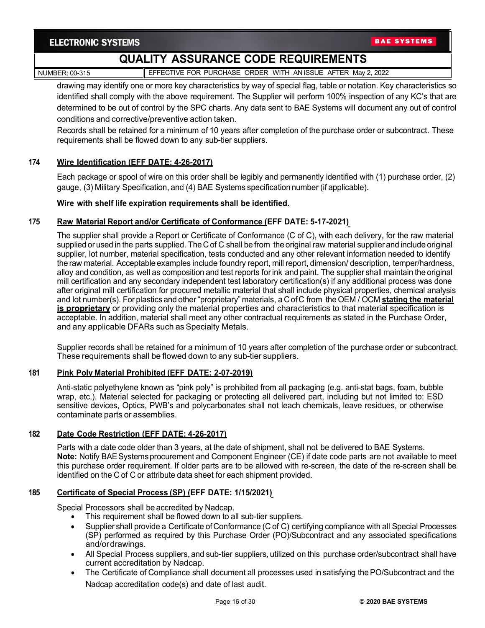NUMBER: 00-315 **EFFECTIVE FOR PURCHASE ORDER WITH AN ISSUE AFTER May 2, 2022** 

drawing may identify one or more key characteristics by way of special flag, table or notation. Key characteristics so identified shall comply with the above requirement. The Supplier will perform 100% inspection of any KC's that are determined to be out of control by the SPC charts. Any data sent to BAE Systems will document any out of control conditions and corrective/preventive action taken.

Records shall be retained for a minimum of 10 years after completion of the purchase order or subcontract. These requirements shall be flowed down to any sub-tier suppliers.

### **174 Wire Identification (EFF DATE: 4-26-2017)**

Each package or spool of wire on this order shall be legibly and permanently identified with (1) purchase order, (2) gauge, (3) Military Specification, and (4) BAE Systems specificationnumber (if applicable).

#### **Wire with shelf life expiration requirements shall be identified.**

#### **175 Raw Material Report and/or Certificate of Conformance (EFF DATE: 5-17-2021)**

The supplier shall provide a Report or Certificate of Conformance (C of C), with each delivery, for the raw material supplied or used in the parts supplied. The C of C shall be from the original raw material supplier and include original supplier, lot number, material specification, tests conducted and any other relevant information needed to identify the raw material. Acceptable examples include foundry report, mill report, dimension/ description, temper/hardness, alloy and condition, as well as composition and test reports forink and paint. The supplier shall maintain the original mill certification and any secondary independent test laboratory certification(s) if any additional process was done after original mill certification for procured metallic material that shall include physical properties, chemical analysis and lot number(s). For plasticsand other"proprietary" materials, a C of C from the OEM / OCM **stating the material is proprietary** or providing only the material properties and characteristics to that material specification is acceptable. In addition, material shall meet any other contractual requirements as stated in the Purchase Order, and any applicable DFARs such as Specialty Metals.

Supplier records shall be retained for a minimum of 10 years after completion of the purchase order or subcontract. These requirements shall be flowed down to any sub-tier suppliers.

#### **181 Pink Poly Material Prohibited (EFF DATE: 2-07-2019)**

Anti-static polyethylene known as "pink poly" is prohibited from all packaging (e.g. anti-stat bags, foam, bubble wrap, etc.). Material selected for packaging or protecting all delivered part, including but not limited to: ESD sensitive devices, Optics, PWB's and polycarbonates shall not leach chemicals, leave residues, or otherwise contaminate parts or assemblies.

#### **182 Date Code Restriction (EFF DATE: 4-26-2017)**

Parts with a date code older than 3 years, at the date of shipment, shall not be delivered to BAE Systems. **Note:** Notify BAESystemsprocurement and Component Engineer (CE) if date code parts are not available to meet this purchase order requirement. If older parts are to be allowed with re-screen, the date of the re-screen shall be identified on the C of C or attribute data sheet for each shipment provided.

### **185 Certificate of Special Process (SP) (EFF DATE: 1/15/2021)**

Special Processors shall be accredited by Nadcap.

- This requirement shall be flowed down to all sub-tier suppliers.
- Supplier shall provide a Certificate of Conformance (C of C) certifying compliance with all Special Processes (SP) performed as required by this Purchase Order (PO)/Subcontract and any associated specifications and/ordrawings.
- All Special Process suppliers, and sub-tier suppliers, utilized on this purchase order/subcontract shall have current accreditation by Nadcap.
- The Certificate of Compliance shall document all processes used in satisfying the PO/Subcontract and the Nadcap accreditation code(s) and date of last audit.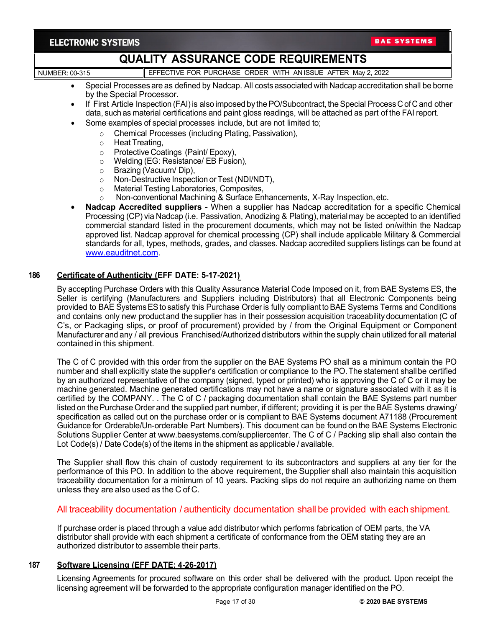# **QUALITY ASSURANCE CODE REQUIREMENTS**

# NUMBER: 00-315 **EFFECTIVE FOR PURCHASE ORDER WITH AN ISSUE AFTER May 2, 2022**

- Special Processes are as defined by Nadcap. All costs associated with Nadcap accreditation shall be borne by the Special Processor.
- If First Article Inspection (FAI) is also imposed by the PO/Subcontract, the Special Process C of C and other data, such as material certifications and paint gloss readings, will be attached as part of the FAI report.
- Some examples of special processes include, but are not limited to;
	- o Chemical Processes (including Plating, Passivation),<br>○ Heat Treating.
	- o Heat Treating,<br>o Protective Coa
	- o Protective Coatings (Paint/ Epoxy),<br>○ Welding (EG: Resistance/ EB Fusio
	- Welding (EG: Resistance/ EB Fusion),
	- o Brazing (Vacuum/ Dip),<br>
	o Non-Destructive Inspect
	- o Non-Destructive Inspection or Test (NDI/NDT),<br>○ Material Testing Laboratories, Composites,
	- Material Testing Laboratories, Composites,
	- o Non-conventional Machining & Surface Enhancements, X-Ray Inspection,etc.
- **Nadcap Accredited suppliers**  When a supplier has Nadcap accreditation for a specific Chemical Processing (CP) via Nadcap (i.e. Passivation, Anodizing & Plating), materialmay be accepted to an identified commercial standard listed in the procurement documents, which may not be listed on/within the Nadcap approved list. Nadcap approval for chemical processing (CP) shall include applicable Military & Commercial standards for all, types, methods, grades, and classes. Nadcap accredited suppliers listings can be found at [www.eauditnet.com.](http://www.eauditnet.com/)

#### **186 Certificate of Authenticity (EFF DATE: 5-17-2021)**

By accepting Purchase Orders with this Quality Assurance Material Code Imposed on it, from BAE Systems ES, the Seller is certifying (Manufacturers and Suppliers including Distributors) that all Electronic Components being provided to BAE SystemsESto satisfy this Purchase Orderis fully complianttoBAE Systems Terms and Conditions and contains only new productand the supplier has in their possession acquisition traceability documentation (C of C's, or Packaging slips, or proof of procurement) provided by / from the Original Equipment or Component Manufacturer and any / all previous Franchised/Authorized distributors within the supply chain utilized for all material contained in this shipment.

The C of C provided with this order from the supplier on the BAE Systems PO shall as a minimum contain the PO number and shall explicitly state the supplier's certification or compliance to the PO.The statement shallbe certified by an authorized representative of the company (signed, typed or printed) who is approving the C of C or it may be machine generated. Machine generated certifications may not have a name or signature associated with it as it is certified by the COMPANY. . The C of C / packaging documentation shall contain the BAE Systems part number listed on the Purchase Order and the supplied part number, if different; providing it is per the BAE Systems drawing/ specification as called out on the purchase order or is compliant to BAE Systems document A71188 (Procurement Guidance for Orderable/Un-orderable Part Numbers). This document can be found on the BAE Systems Electronic Solutions Supplier Center at [www.baesystems.com/suppliercenter. T](http://www.baesystems.com/suppliercenter)he C of C / Packing slip shall also contain the Lot Code(s) / Date Code(s) of the items in the shipment as applicable / available.

The Supplier shall flow this chain of custody requirement to its subcontractors and suppliers at any tier for the performance of this PO. In addition to the above requirement, the Supplier shall also maintain this acquisition traceability documentation for a minimum of 10 years. Packing slips do not require an authorizing name on them unless they are also used as the C of C.

# All traceability documentation / authenticity documentation shall be provided with each shipment.

If purchase order is placed through a value add distributor which performs fabrication of OEM parts, the VA distributor shall provide with each shipment a certificate of conformance from the OEM stating they are an authorized distributor to assemble their parts.

### **187 Software Licensing (EFF DATE: 4-26-2017)**

Licensing Agreements for procured software on this order shall be delivered with the product. Upon receipt the licensing agreement will be forwarded to the appropriate configuration manager identified on the PO.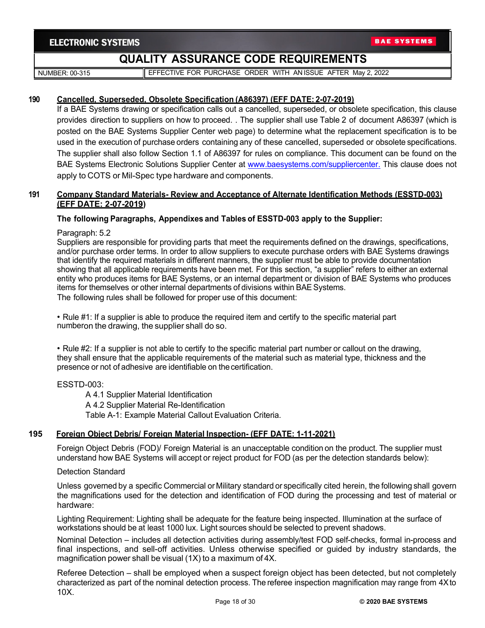NUMBER: 00-315 **EFFECTIVE FOR PURCHASE ORDER WITH AN ISSUE AFTER May 2, 2022** 

#### **190 Cancelled, Superseded, Obsolete Specification (A86397) (EFF DATE: 2-07-2019)**

If a BAE Systems drawing or specification calls out a cancelled, superseded, or obsolete specification, this clause provides direction to suppliers on how to proceed. . The supplier shall use Table 2 of document A86397 (which is posted on the BAE Systems Supplier Center web page) to determine what the replacement specification is to be used in the execution of purchase orders containing any of these cancelled, superseded or obsolete specifications. The supplier shall also follow Section 1.1 of A86397 for rules on compliance. This document can be found on the BAE Systems Electronic Solutions Supplier Center at [www.baesystems.com/suppliercenter.](http://www.baesystems.com/suppliercenter) This clause does not apply to COTS or Mil-Spec type hardware and components.

### **191 Company Standard Materials- Review and Acceptance of Alternate Identification Methods (ESSTD-003) (EFF DATE: 2-07-2019)**

### **The following Paragraphs, Appendixes and Tables of ESSTD-003 apply to the Supplier:**

Paragraph: 5.2

Suppliers are responsible for providing parts that meet the requirements defined on the drawings, specifications, and/or purchase order terms. In order to allow suppliers to execute purchase orders with BAE Systems drawings that identify the required materials in different manners, the supplier must be able to provide documentation showing that all applicable requirements have been met. For this section, "a supplier" refers to either an external entity who produces items for BAE Systems, or an internal department or division of BAE Systems who produces items for themselves or other internal departments of divisions within BAE Systems. The following rules shall be followed for proper use of this document:

• Rule #1: If a supplier is able to produce the required item and certify to the specific material part numberon the drawing, the supplier shall do so.

• Rule #2: If a supplier is not able to certify to the specific material part number or callout on the drawing, they shall ensure that the applicable requirements of the material such as material type, thickness and the presence or not of adhesive are identifiable on thecertification.

ESSTD-003:

A 4.1 Supplier Material Identification A 4.2 Supplier Material Re-Identification Table A-1: Example Material Callout Evaluation Criteria.

### **195 Foreign Object Debris/ Foreign Material Inspection- (EFF DATE: 1-11-2021)**

Foreign Object Debris (FOD)/ Foreign Material is an unacceptable condition on the product. The supplier must understand how BAE Systems will accept or reject product for FOD (as per the detection standards below):

Detection Standard

Unless governed by a specific Commercial or Military standard or specifically cited herein, the following shall govern the magnifications used for the detection and identification of FOD during the processing and test of material or hardware:

Lighting Requirement: Lighting shall be adequate for the feature being inspected. Illumination at the surface of workstations should be at least 1000 lux. Light sources should be selected to prevent shadows.

Nominal Detection – includes all detection activities during assembly/test FOD self-checks, formal in-process and final inspections, and sell-off activities. Unless otherwise specified or guided by industry standards, the magnification power shall be visual (1X) to a maximum of 4X.

Referee Detection – shall be employed when a suspect foreign object has been detected, but not completely characterized as part of the nominal detection process. The referee inspection magnification may range from 4Xto 10X.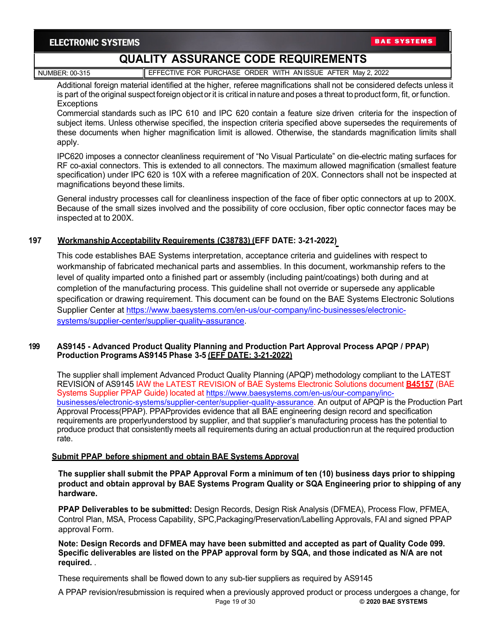**BAE SYSTEMS** 

# **QUALITY ASSURANCE CODE REQUIREMENTS**

NUMBER: 00-315 **EFFECTIVE FOR PURCHASE ORDER WITH AN ISSUE AFTER May 2, 2022** 

Additional foreign material identified at the higher, referee magnifications shall not be considered defects unless it is part of the original suspectforeign objectorit is critical in nature and poses a threat to productform, fit, orfunction. **Exceptions** 

Commercial standards such as IPC 610 and IPC 620 contain a feature size driven criteria for the inspection of subject items. Unless otherwise specified, the inspection criteria specified above supersedes the requirements of these documents when higher magnification limit is allowed. Otherwise, the standards magnification limits shall apply.

IPC620 imposes a connector cleanliness requirement of "No Visual Particulate" on die-electric mating surfaces for RF co-axial connectors. This is extended to all connectors. The maximum allowed magnification (smallest feature specification) under IPC 620 is 10X with a referee magnification of 20X. Connectors shall not be inspected at magnifications beyond these limits.

General industry processes call for cleanliness inspection of the face of fiber optic connectors at up to 200X. Because of the small sizes involved and the possibility of core occlusion, fiber optic connector faces may be inspected at to 200X.

# **197 Workmanship Acceptability Requirements (C38783) (EFF DATE: 3-21-2022)**

This code establishes BAE Systems interpretation, acceptance criteria and guidelines with respect to workmanship of fabricated mechanical parts and assemblies. In this document, workmanship refers to the level of quality imparted onto a finished part or assembly (including paint/coatings) both during and at completion of the manufacturing process. This guideline shall not override or supersede any applicable specification or drawing requirement. This document can be found on the BAE Systems Electronic Solutions Supplier Center at [https://www.baesystems.com/en-us/our-company/inc-businesses/electronic](https://www.baesystems.com/en-us/our-company/inc-businesses/electronic-systems/supplier-center/supplier-quality-assurance)[systems/supplier-center/supplier-quality-assurance.](https://www.baesystems.com/en-us/our-company/inc-businesses/electronic-systems/supplier-center/supplier-quality-assurance)

### **199 AS9145 - Advanced Product Quality Planning and Production Part Approval Process APQP / PPAP) Production Programs AS9145 Phase 3-5 (EFF DATE: 3-21-2022)**

The supplier shall implement Advanced Product Quality Planning (APQP) methodology compliant to the LATEST REVISION of AS9145 IAW the LATEST REVISION of BAE Systems Electronic Solutions document **B45157** (BAE Systems Supplier PPAP Guide) located at [https://www.baesystems.com/en-us/our-company/inc](https://www.baesystems.com/en-us/our-company/inc-businesses/electronic-systems/supplier-center/supplier-quality-assurance)[businesses/electronic-systems/supplier-center/supplier-quality-assurance.](https://www.baesystems.com/en-us/our-company/inc-businesses/electronic-systems/supplier-center/supplier-quality-assurance) An output of APQP is the Production Part Approval Process(PPAP). PPAPprovides evidence that all BAE engineering design record and specification requirements are properlyunderstood by supplier, and that supplier's manufacturing process has the potential to produce product that consistently meets all requirements during an actual production run at the required production rate.

### **Submit PPAP before shipment and obtain BAE Systems Approval**

**The supplier shall submit the PPAP Approval Form a minimum of ten (10) business days prior to shipping product and obtain approval by BAE Systems Program Quality or SQA Engineering prior to shipping of any hardware.**

**PPAP Deliverables to be submitted:** Design Records, Design Risk Analysis (DFMEA), Process Flow, PFMEA, Control Plan, MSA, Process Capability, SPC,Packaging/Preservation/Labelling Approvals, FAI and signed PPAP approval Form.

**Note: Design Records and DFMEA may have been submitted and accepted as part of Quality Code 099. Specific deliverables are listed on the PPAP approval form by SQA, and those indicated as N/A are not required.** .

These requirements shall be flowed down to any sub-tier suppliers as required by AS9145

Page 19 of 30 **© 2020 BAE SYSTEMS** A PPAP revision/resubmission is required when a previously approved product or process undergoes a change, for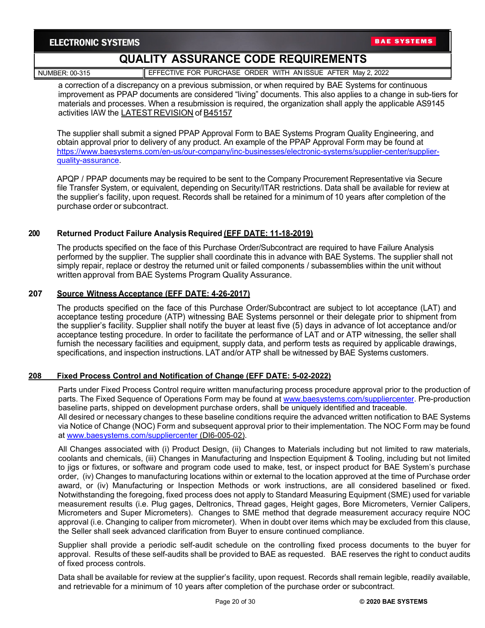**BAE SYSTEMS** 

# **QUALITY ASSURANCE CODE REQUIREMENTS**

NUMBER: 00-315 **EFFECTIVE FOR PURCHASE ORDER WITH AN ISSUE AFTER May 2, 2022** 

a correction of a discrepancy on a previous submission, or when required by BAE Systems for continuous improvement as PPAP documents are considered "living" documents. This also applies to a change in sub-tiers for materials and processes. When a resubmission is required, the organization shall apply the applicable AS9145 activities IAW the LATEST REVISION of B45157

The supplier shall submit a signed PPAP Approval Form to BAE Systems Program Quality Engineering, and obtain approval prior to delivery of any product. An example of the PPAP Approval Form may be found at [https://www.baesystems.com/en-us/our-company/inc-businesses/electronic-systems/supplier-center/supplier](https://www.baesystems.com/en-us/our-company/inc-businesses/electronic-systems/supplier-center/supplier-quality-assurance)[quality-assurance.](https://www.baesystems.com/en-us/our-company/inc-businesses/electronic-systems/supplier-center/supplier-quality-assurance)

APQP / PPAP documents may be required to be sent to the Company Procurement Representative via Secure file Transfer System, or equivalent, depending on Security/ITAR restrictions. Data shall be available for review at the supplier's facility, upon request. Records shall be retained for a minimum of 10 years after completion of the purchase order or subcontract.

### **200 Returned Product Failure Analysis Required (EFF DATE: 11-18-2019)**

The products specified on the face of this Purchase Order/Subcontract are required to have Failure Analysis performed by the supplier. The supplier shall coordinate this in advance with BAE Systems. The supplier shall not simply repair, replace or destroy the returned unit or failed components / subassemblies within the unit without written approval from BAE Systems Program Quality Assurance.

#### **207 Source Witness Acceptance (EFF DATE: 4-26-2017)**

The products specified on the face of this Purchase Order/Subcontract are subject to lot acceptance (LAT) and acceptance testing procedure (ATP) witnessing BAE Systems personnel or their delegate prior to shipment from the supplier's facility. Supplier shall notify the buyer at least five (5) days in advance of lot acceptance and/or acceptance testing procedure. In order to facilitate the performance of LAT and or ATP witnessing, the seller shall furnish the necessary facilities and equipment, supply data, and perform tests as required by applicable drawings, specifications, and inspection instructions. LAT and/or ATP shall be witnessed by BAE Systems customers.

#### **208 Fixed Process Control and Notification of Change (EFF DATE: 5-02-2022)**

Parts under Fixed Process Control require written manufacturing process procedure approval prior to the production of parts. The Fixed Sequence of Operations Form may be found at [www.baesystems.com/suppliercenter.](https://www.baesystems.com/en-us/our-company/inc-businesses/electronic-systems/supplier-center/supplier-quality-assurance) Pre-production baseline parts, shipped on development purchase orders, shall be uniquely identified and traceable. All desired or necessary changes to these baseline conditions require the advanced written notification to BAE Systems via Notice of Change (NOC) Form and subsequent approval prior to their implementation. The NOC Form may be found

at [www.baesystems.com/suppliercenter](https://www.baesystems.com/en-us/our-company/inc-businesses/electronic-systems/supplier-center/supplier-quality-assurance) (DI6-005-02).

All Changes associated with (i) Product Design, (ii) Changes to Materials including but not limited to raw materials, coolants and chemicals, (iii) Changes in Manufacturing and Inspection Equipment & Tooling, including but not limited to jigs or fixtures, or software and program code used to make, test, or inspect product for BAE System's purchase order, (iv) Changes to manufacturing locations within or external to the location approved at the time of Purchase order award, or (iv) Manufacturing or Inspection Methods or work instructions, are all considered baselined or fixed. Notwithstanding the foregoing, fixed process does not apply to Standard Measuring Equipment (SME) used for variable measurement results (i.e. Plug gages, Deltronics, Thread gages, Height gages, Bore Micrometers, Vernier Calipers, Micrometers and Super Micrometers). Changes to SME method that degrade measurement accuracy require NOC approval (i.e. Changing to caliper from micrometer). When in doubt over items which may be excluded from this clause, the Seller shall seek advanced clarification from Buyer to ensure continued compliance.

Supplier shall provide a periodic self-audit schedule on the controlling fixed process documents to the buyer for approval. Results of these self-audits shall be provided to BAE as requested. BAE reserves the right to conduct audits of fixed process controls.

Data shall be available for review at the supplier's facility, upon request. Records shall remain legible, readily available, and retrievable for a minimum of 10 years after completion of the purchase order or subcontract.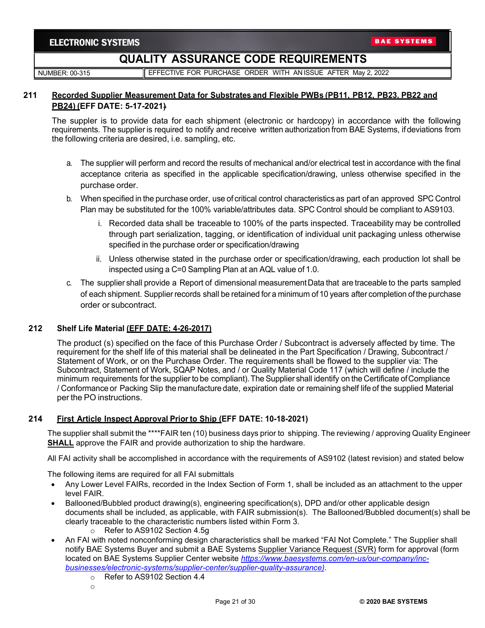NUMBER: 00-315 **EFFECTIVE FOR PURCHASE ORDER WITH AN ISSUE AFTER May 2, 2022** 

### **211 Recorded Supplier Measurement Data for Substrates and Flexible PWBs (PB11, PB12, PB23, PB22 and PB24) (EFF DATE: 5-17-2021)**

The suppler is to provide data for each shipment (electronic or hardcopy) in accordance with the following requirements. The supplier is required to notify and receive written authorization from BAE Systems, ifdeviations from the following criteria are desired, i.e. sampling, etc.

- a. The supplier will perform and record the results of mechanical and/or electrical test in accordance with the final acceptance criteria as specified in the applicable specification/drawing, unless otherwise specified in the purchase order.
- b. When specified in the purchase order, use of critical control characteristics as part of an approved SPC Control Plan may be substituted for the 100% variable/attributes data. SPC Control should be compliant to AS9103.
	- i. Recorded data shall be traceable to 100% of the parts inspected. Traceability may be controlled through part serialization, tagging, or identification of individual unit packaging unless otherwise specified in the purchase order or specification/drawing
	- ii. Unless otherwise stated in the purchase order or specification/drawing, each production lot shall be inspected using a C=0 Sampling Plan at an AQL value of 1.0.
- c. The supplier shall provide a Report of dimensional measurementData that are traceable to the parts sampled of each shipment. Supplier records shall be retained for a minimum of10 years after completion ofthe purchase order or subcontract.

# **212 Shelf Life Material (EFF DATE: 4-26-2017)**

The product (s) specified on the face of this Purchase Order / Subcontract is adversely affected by time. The requirement for the shelf life of this material shall be delineated in the Part Specification / Drawing, Subcontract / Statement of Work, or on the Purchase Order. The requirements shall be flowed to the supplier via: The Subcontract, Statement of Work, SQAP Notes, and / or Quality Material Code 117 (which will define / include the minimum requirements forthe supplier to be compliant).The Supplier shall identify on the Certificate ofCompliance / Conformance or Packing Slip the manufacture date, expiration date or remaining shelf life of the supplied Material per the PO instructions.

### **214 First Article Inspect Approval Priorto Ship (EFF DATE: 10-18-2021)**

The supplier shall submit the \*\*\*\*FAIR ten (10) business days prior to shipping. The reviewing / approving Quality Engineer **SHALL** approve the FAIR and provide authorization to ship the hardware.

All FAI activity shall be accomplished in accordance with the requirements of AS9102 (latest revision) and stated below

The following items are required for all FAI submittals

- Any Lower Level FAIRs, recorded in the Index Section of Form 1, shall be included as an attachment to the upper level FAIR.
- Ballooned/Bubbled product drawing(s), engineering specification(s), DPD and/or other applicable design documents shall be included, as applicable, with FAIR submission(s). The Ballooned/Bubbled document(s) shall be clearly traceable to the characteristic numbers listed within Form 3.
	- o Refer to AS9102 Section 4.5g
- An FAI with noted nonconforming design characteristics shall be marked "FAI Not Complete." The Supplier shall notify BAE Systems Buyer and submit a BAE Systems Supplier Variance Request (SVR) form for approval (form located on BAE Systems Supplier Center website *[https://www.baesystems.com/en-us/our-company/inc](https://www.baesystems.com/en-us/our-company/inc-businesses/electronic-systems/supplier-center/supplier-quality-assurance)[businesses/electronic-systems/supplier-center/supplier-quality-assurance\)](https://www.baesystems.com/en-us/our-company/inc-businesses/electronic-systems/supplier-center/supplier-quality-assurance)*.
	- o Refer to AS9102 Section 4.4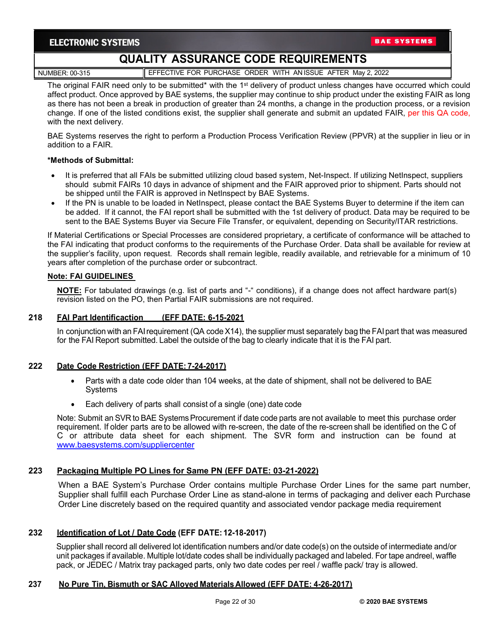**BAE SYSTEMS** 

# **QUALITY ASSURANCE CODE REQUIREMENTS**

NUMBER: 00-315 EFFECTIVE FOR PURCHASE ORDER WITH AN ISSUE AFTER May 2, 2022

The original FAIR need only to be submitted\* with the 1<sup>st</sup> delivery of product unless changes have occurred which could affect product. Once approved by BAE systems, the supplier may continue to ship product under the existing FAIR as long as there has not been a break in production of greater than 24 months, a change in the production process, or a revision change. If one of the listed conditions exist, the supplier shall generate and submit an updated FAIR, per this QA code, with the next delivery.

BAE Systems reserves the right to perform a Production Process Verification Review (PPVR) at the supplier in lieu or in addition to a FAIR.

#### **\*Methods of Submittal:**

- It is preferred that all FAIs be submitted utilizing cloud based system, Net-Inspect. If utilizing NetInspect, suppliers should submit FAIRs 10 days in advance of shipment and the FAIR approved prior to shipment. Parts should not be shipped until the FAIR is approved in NetInspect by BAE Systems.
- If the PN is unable to be loaded in NetInspect, please contact the BAE Systems Buyer to determine if the item can be added. If it cannot, the FAI report shall be submitted with the 1st delivery of product. Data may be required to be sent to the BAE Systems Buyer via Secure File Transfer, or equivalent, depending on Security/ITAR restrictions.

If Material Certifications or Special Processes are considered proprietary, a certificate of conformance will be attached to the FAI indicating that product conforms to the requirements of the Purchase Order. Data shall be available for review at the supplier's facility, upon request. Records shall remain legible, readily available, and retrievable for a minimum of 10 years after completion of the purchase order or subcontract.

### **Note: FAI GUIDELINES**

**NOTE:** For tabulated drawings (e.g. list of parts and "-" conditions), if a change does not affect hardware part(s) revision listed on the PO, then Partial FAIR submissions are not required.

### **218 FAI Part Identificaction (EFF DATE: 6-15-2021**

In conjunction with an FAI requirement (QA code X14), the supplier must separately bag the FAI part that was measured for the FAI Report submitted. Label the outside of the bag to clearly indicate that it is the FAI part.

### **222 Date Code Restriction (EFF DATE: 7-24-2017)**

- Parts with a date code older than 104 weeks, at the date of shipment, shall not be delivered to BAE Systems
- Each delivery of parts shall consist of a single (one) date code

Note: Submit an SVR to BAE Systems Procurement if date code parts are not available to meet this purchase order requirement. If older parts are to be allowed with re-screen, the date of the re-screen shall be identified on the C of C or attribute data sheet for each shipment. The SVR form and instruction can be found at [www.baesystems.com/suppliercenter](http://www.baesystems.com/suppliercenter)

### **223 Packaging Multiple PO Lines for Same PN (EFF DATE: 03-21-2022)**

When a BAE System's Purchase Order contains multiple Purchase Order Lines for the same part number, Supplier shall fulfill each Purchase Order Line as stand-alone in terms of packaging and deliver each Purchase Order Line discretely based on the required quantity and associated vendor package media requirement

### **232 Identification of Lot / Date Code (EFF DATE: 12-18-2017)**

Supplier shall record all delivered lot identification numbers and/or date code(s) on the outside of intermediate and/or unit packages if available. Multiple lot/date codes shall be individually packaged and labeled. For tape andreel, waffle pack, or JEDEC / Matrix tray packaged parts, only two date codes per reel / waffle pack/ tray is allowed.

### **237 No Pure Tin, Bismuth or SAC Alloyed Materials Allowed (EFF DATE: 4-26-2017)**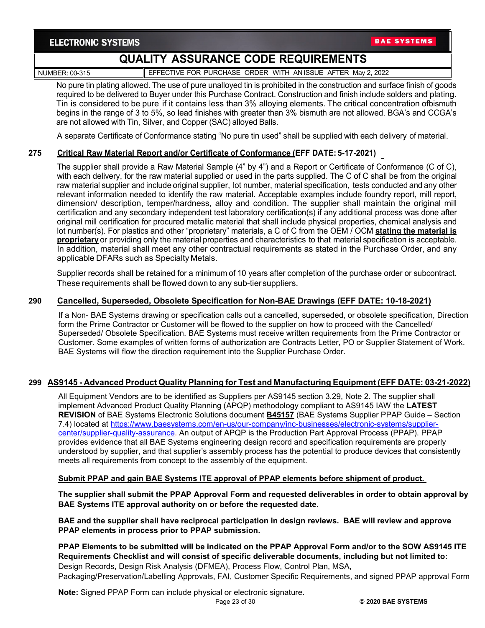**BAE SYSTEMS** 

# **QUALITY ASSURANCE CODE REQUIREMENTS**

NUMBER: 00-315 **EFFECTIVE FOR PURCHASE ORDER WITH AN ISSUE AFTER May 2, 2022** 

No pure tin plating allowed. The use of pure unalloyed tin is prohibited in the construction and surface finish of goods

required to be delivered to Buyer under this Purchase Contract. Construction and finish include solders and plating. Tin is considered to be pure if it contains less than 3% alloying elements. The critical concentration ofbismuth begins in the range of 3 to 5%, so lead finishes with greater than 3% bismuth are not allowed. BGA's and CCGA's are not allowed with Tin, Silver, and Copper (SAC) alloyed Balls.

A separate Certificate of Conformance stating "No pure tin used" shall be supplied with each delivery of material.

# **275 Critical Raw Material Report and/or Certificate of Conformance (EFF DATE: 5-17-2021)**

The supplier shall provide a Raw Material Sample (4" by 4") and a Report or Certificate of Conformance (C of C), with each delivery, for the raw material supplied or used in the parts supplied. The C of C shall be from the original raw material supplier and include original supplier, lot number, material specification, tests conducted and any other relevant information needed to identify the raw material. Acceptable examples include foundry report, mill report, dimension/ description, temper/hardness, alloy and condition. The supplier shall maintain the original mill certification and any secondary independent test laboratory certification(s) if any additional process was done after original mill certification for procured metallic material that shall include physical properties, chemical analysis and lot number(s). For plastics and other "proprietary" materials, a C of C from the OEM / OCM **stating the material is proprietary** or providing only the material properties and characteristics to that material specification is acceptable. In addition, material shall meet any other contractual requirements as stated in the Purchase Order, and any applicable DFARs such as Specialty Metals.

Supplier records shall be retained for a minimum of 10 years after completion of the purchase order or subcontract. These requirements shall be flowed down to any sub-tiersuppliers.

### **290 Cancelled, Superseded, Obsolete Specification for Non-BAE Drawings (EFF DATE: 10-18-2021)**

If a Non- BAE Systems drawing or specification calls out a cancelled, superseded, or obsolete specification, Direction form the Prime Contractor or Customer will be flowed to the supplier on how to proceed with the Cancelled/ Superseded/ Obsolete Specification. BAE Systems must receive written requirements from the Prime Contractor or Customer. Some examples of written forms of authorization are Contracts Letter, PO or Supplier Statement of Work. BAE Systems will flow the direction requirement into the Supplier Purchase Order.

### **299 AS9145 - Advanced Product Quality Planning for Test and Manufacturing Equipment (EFF DATE: 03-21-2022)**

All Equipment Vendors are to be identified as Suppliers per AS9145 section 3.29, Note 2. The supplier shall implement Advanced Product Quality Planning (APQP) methodology compliant to AS9145 IAW the **LATEST REVISION** of BAE Systems Electronic Solutions document **B45157** (BAE Systems Supplier PPAP Guide – Section 7.4) located at [https://www.baesystems.com/en-us/our-company/inc-businesses/electronic-systems/supplier](https://www.baesystems.com/en-us/our-company/inc-businesses/electronic-systems/supplier-center/supplier-quality-assurance)[center/supplier-quality-assurance.](https://www.baesystems.com/en-us/our-company/inc-businesses/electronic-systems/supplier-center/supplier-quality-assurance) An output of APQP is the Production Part Approval Process (PPAP). PPAP provides evidence that all BAE Systems engineering design record and specification requirements are properly understood by supplier, and that supplier's assembly process has the potential to produce devices that consistently meets all requirements from concept to the assembly of the equipment.

#### **Submit PPAP and gain BAE Systems ITE approval of PPAP elements before shipment of product.**

**The supplier shall submit the PPAP Approval Form and requested deliverables in order to obtain approval by BAE Systems ITE approval authority on or before the requested date.**

**BAE and the supplier shall have reciprocal participation in design reviews. BAE will review and approve PPAP elements in process prior to PPAP submission.**

**PPAP Elements to be submitted will be indicated on the PPAP Approval Form and/or to the SOW AS9145 ITE Requirements Checklist and will consist of specific deliverable documents, including but not limited to:**  Design Records, Design Risk Analysis (DFMEA), Process Flow, Control Plan, MSA, Packaging/Preservation/Labelling Approvals, FAI, Customer Specific Requirements, and signed PPAP approval Form

**Note:** Signed PPAP Form can include physical or electronic signature.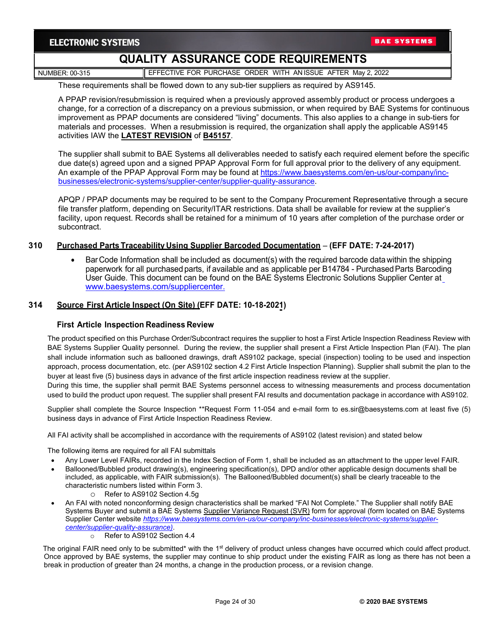NUMBER: 00-315 **EFFECTIVE FOR PURCHASE ORDER WITH AN ISSUE AFTER May 2, 2022** 

These requirements shall be flowed down to any sub-tier suppliers as required by AS9145.

A PPAP revision/resubmission is required when a previously approved assembly product or process undergoes a change, for a correction of a discrepancy on a previous submission, or when required by BAE Systems for continuous improvement as PPAP documents are considered "living" documents. This also applies to a change in sub-tiers for materials and processes. When a resubmission is required, the organization shall apply the applicable AS9145 activities IAW the **LATEST REVISION** of **B45157**.

The supplier shall submit to BAE Systems all deliverables needed to satisfy each required element before the specific due date(s) agreed upon and a signed PPAP Approval Form for full approval prior to the delivery of any equipment. An example of the PPAP Approval Form may be found at [https://www.baesystems.com/en-us/our-company/inc](https://www.baesystems.com/en-us/our-company/inc-businesses/electronic-systems/supplier-center/supplier-quality-assurance)[businesses/electronic-systems/supplier-center/supplier-quality-assurance.](https://www.baesystems.com/en-us/our-company/inc-businesses/electronic-systems/supplier-center/supplier-quality-assurance)

APQP / PPAP documents may be required to be sent to the Company Procurement Representative through a secure file transfer platform, depending on Security/ITAR restrictions. Data shall be available for review at the supplier's facility, upon request. Records shall be retained for a minimum of 10 years after completion of the purchase order or subcontract.

### **310 Purchased Parts Traceability Using Supplier Barcoded Documentation** – **(EFF DATE: 7-24-2017)**

• BarCode Information shall be included as document(s) with the required barcode data within the shipping paperwork for all purchased parts, if available and as applicable per B14784 - Purchased Parts Barcoding User Guide. This document can be found on the BAE Systems Electronic Solutions Supplier Center at [www.baesystems.com/suppliercenter.](http://www.baesystems.com/suppliercenter)

#### **314 Source First Article Inspect (On Site) (EFF DATE: 10-18-2021)**

#### **First Article Inspection Readiness Review**

The product specified on this Purchase Order/Subcontract requires the supplier to host a First Article Inspection Readiness Review with BAE Systems Supplier Quality personnel. During the review, the supplier shall present a First Article Inspection Plan (FAI). The plan shall include information such as ballooned drawings, draft AS9102 package, special (inspection) tooling to be used and inspection approach, process documentation, etc. (per AS9102 section 4.2 First Article Inspection Planning). Supplier shall submit the plan to the buyer at least five (5) business days in advance of the first article inspection readiness review at the supplier.

During this time, the supplier shall permit BAE Systems personnel access to witnessing measurements and process documentation used to build the product upon request. The supplier shall present FAI results and documentation package in accordance with AS9102.

Supplier shall complete the Source Inspection \*\*Request Form 11-054 and e-mail form to es.sir@baesystems.com at least five (5) business days in advance of First Article Inspection Readiness Review.

All FAI activity shall be accomplished in accordance with the requirements of AS9102 (latest revision) and stated below

The following items are required for all FAI submittals

- Any Lower Level FAIRs, recorded in the Index Section of Form 1, shall be included as an attachment to the upper level FAIR.
- Ballooned/Bubbled product drawing(s), engineering specification(s), DPD and/or other applicable design documents shall be included, as applicable, with FAIR submission(s). The Ballooned/Bubbled document(s) shall be clearly traceable to the characteristic numbers listed within Form 3.
	- o Refer to AS9102 Section 4.5g
- An FAI with noted nonconforming design characteristics shall be marked "FAI Not Complete." The Supplier shall notify BAE Systems Buyer and submit a BAE Systems Supplier Variance Request (SVR) form for approval (form located on BAE Systems Supplier Center website *[https://www.baesystems.com/en-us/our-company/inc-businesses/electronic-systems/supplier](https://www.baesystems.com/en-us/our-company/inc-businesses/electronic-systems/supplier-center/supplier-quality-assurance)[center/supplier-quality-assurance\)](https://www.baesystems.com/en-us/our-company/inc-businesses/electronic-systems/supplier-center/supplier-quality-assurance)*.
	- o Refer to AS9102 Section 4.4

The original FAIR need only to be submitted\* with the 1<sup>st</sup> delivery of product unless changes have occurred which could affect product. Once approved by BAE systems, the supplier may continue to ship product under the existing FAIR as long as there has not been a break in production of greater than 24 months, a change in the production process, or a revision change.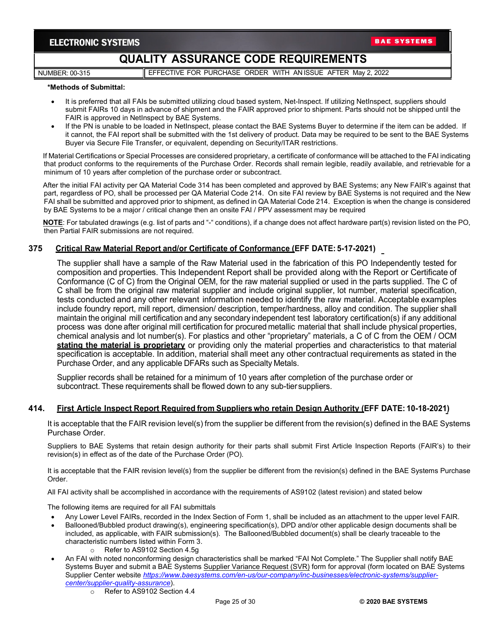NUMBER: 00-315 **EFFECTIVE FOR PURCHASE ORDER WITH AN ISSUE AFTER May 2, 2022** 

#### **\*Methods of Submittal:**

- It is preferred that all FAIs be submitted utilizing cloud based system, Net-Inspect. If utilizing NetInspect, suppliers should submit FAIRs 10 days in advance of shipment and the FAIR approved prior to shipment. Parts should not be shipped until the FAIR is approved in NetInspect by BAE Systems.
- If the PN is unable to be loaded in NetInspect, please contact the BAE Systems Buyer to determine if the item can be added. If it cannot, the FAI report shall be submitted with the 1st delivery of product. Data may be required to be sent to the BAE Systems Buyer via Secure File Transfer, or equivalent, depending on Security/ITAR restrictions.

If Material Certifications or Special Processes are considered proprietary, a certificate of conformance will be attached to the FAI indicating that product conforms to the requirements of the Purchase Order. Records shall remain legible, readily available, and retrievable for a minimum of 10 years after completion of the purchase order or subcontract.

After the initial FAI activity per QA Material Code 314 has been completed and approved by BAE Systems; any New FAIR's against that part, regardless of PO, shall be processed per QA Material Code 214. On site FAI review by BAE Systems is not required and the New FAI shall be submitted and approved prior to shipment, as defined in QA Material Code 214. Exception is when the change is considered by BAE Systems to be a major / critical change then an onsite FAI / PPV assessment may be required

**NOTE**: For tabulated drawings (e.g. list of parts and "-" conditions), if a change does not affect hardware part(s) revision listed on the PO, then Partial FAIR submissions are not required.

#### **375 Critical Raw Material Report and/or Certificate of Conformance (EFF DATE: 5-17-2021)**

The supplier shall have a sample of the Raw Material used in the fabrication of this PO Independently tested for composition and properties. This Independent Report shall be provided along with the Report or Certificate of Conformance (C of C) from the Original OEM, for the raw material supplied or used in the parts supplied. The C of C shall be from the original raw material supplier and include original supplier, lot number, material specification, tests conducted and any other relevant information needed to identify the raw material. Acceptable examples include foundry report, mill report, dimension/ description, temper/hardness, alloy and condition. The supplier shall maintain the original mill certification and any secondary independent test laboratory certification(s) if any additional process was done after original mill certification for procured metallic material that shall include physical properties, chemical analysis and lot number(s). For plastics and other "proprietary" materials, a C of C from the OEM / OCM **stating the material is proprietary** or providing only the material properties and characteristics to that material specification is acceptable. In addition, material shall meet any other contractual requirements as stated in the Purchase Order, and any applicable DFARs such as Specialty Metals.

Supplier records shall be retained for a minimum of 10 years after completion of the purchase order or subcontract. These requirements shall be flowed down to any sub-tier suppliers.

#### **414. First Article Inspect Report Required from Suppliers who retain Design Authority (EFF DATE: 10-18-2021)**

It is acceptable that the FAIR revision level(s) from the supplier be different from the revision(s) defined in the BAE Systems Purchase Order.

Suppliers to BAE Systems that retain design authority for their parts shall submit First Article Inspection Reports (FAIR's) to their revision(s) in effect as of the date of the Purchase Order (PO).

It is acceptable that the FAIR revision level(s) from the supplier be different from the revision(s) defined in the BAE Systems Purchase Order.

All FAI activity shall be accomplished in accordance with the requirements of AS9102 (latest revision) and stated below

The following items are required for all FAI submittals

- Any Lower Level FAIRs, recorded in the Index Section of Form 1, shall be included as an attachment to the upper level FAIR.
- Ballooned/Bubbled product drawing(s), engineering specification(s), DPD and/or other applicable design documents shall be included, as applicable, with FAIR submission(s). The Ballooned/Bubbled document(s) shall be clearly traceable to the characteristic numbers listed within Form 3.
	- o Refer to AS9102 Section 4.5g
- An FAI with noted nonconforming design characteristics shall be marked "FAI Not Complete." The Supplier shall notify BAE Systems Buyer and submit a BAE Systems Supplier Variance Request (SVR) form for approval (form located on BAE Systems Supplier Center website *[https://www.baesystems.com/en-us/our-company/inc-businesses/electronic-systems/supplier](https://www.baesystems.com/en-us/our-company/inc-businesses/electronic-systems/supplier-center/supplier-quality-assurance)[center/supplier-quality-assurance](https://www.baesystems.com/en-us/our-company/inc-businesses/electronic-systems/supplier-center/supplier-quality-assurance)*).
	- o Refer to AS9102 Section 4.4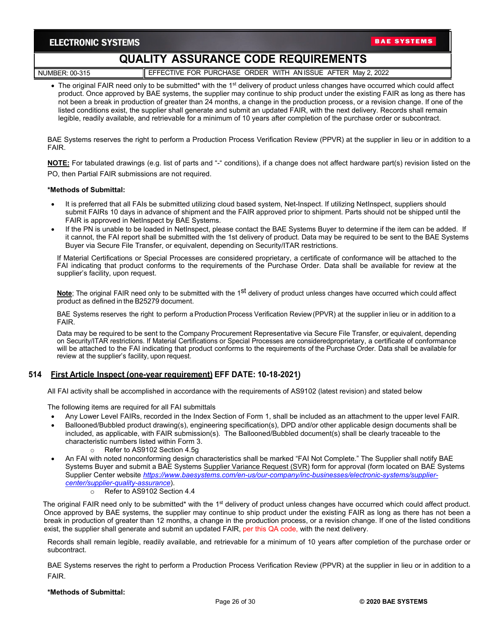# **QUALITY ASSURANCE CODE REQUIREMENTS**

NUMBER: 00-315 **EFFECTIVE FOR PURCHASE ORDER WITH AN ISSUE AFTER May 2, 2022** 

• The original FAIR need only to be submitted\* with the 1<sup>st</sup> delivery of product unless changes have occurred which could affect product. Once approved by BAE systems, the supplier may continue to ship product under the existing FAIR as long as there has not been a break in production of greater than 24 months, a change in the production process, or a revision change. If one of the listed conditions exist, the supplier shall generate and submit an updated FAIR, with the next delivery. Records shall remain legible, readily available, and retrievable for a minimum of 10 years after completion of the purchase order or subcontract.

BAE Systems reserves the right to perform a Production Process Verification Review (PPVR) at the supplier in lieu or in addition to a FAIR.

**NOTE:** For tabulated drawings (e.g. list of parts and "-" conditions), if a change does not affect hardware part(s) revision listed on the PO, then Partial FAIR submissions are not required.

#### **\*Methods of Submittal:**

- It is preferred that all FAIs be submitted utilizing cloud based system, Net-Inspect. If utilizing NetInspect, suppliers should submit FAIRs 10 days in advance of shipment and the FAIR approved prior to shipment. Parts should not be shipped until the FAIR is approved in NetInspect by BAE Systems.
- If the PN is unable to be loaded in NetInspect, please contact the BAE Systems Buyer to determine if the item can be added. If it cannot, the FAI report shall be submitted with the 1st delivery of product. Data may be required to be sent to the BAE Systems Buyer via Secure File Transfer, or equivalent, depending on Security/ITAR restrictions.

If Material Certifications or Special Processes are considered proprietary, a certificate of conformance will be attached to the FAI indicating that product conforms to the requirements of the Purchase Order. Data shall be available for review at the supplier's facility, upon request.

**Note**; The original FAIR need only to be submitted with the 1<sup>st</sup> delivery of product unless changes have occurred which could affect product as defined in the B25279 document.

BAE Systems reserves the right to perform a Production Process Verification Review(PPVR) at the supplier in lieu or in addition to a FAIR.

Data may be required to be sent to the Company Procurement Representative via Secure File Transfer, or equivalent, depending on Security/ITAR restrictions. If Material Certifications or Special Processes are consideredproprietary, a certificate of conformance will be attached to the FAI indicating that product conforms to the requirements of the Purchase Order. Data shall be available for review at the supplier's facility, upon request.

#### **514 First Article Inspect (one-year requirement) EFF DATE: 10-18-2021)**

All FAI activity shall be accomplished in accordance with the requirements of AS9102 (latest revision) and stated below

The following items are required for all FAI submittals

- Any Lower Level FAIRs, recorded in the Index Section of Form 1, shall be included as an attachment to the upper level FAIR.
- Ballooned/Bubbled product drawing(s), engineering specification(s), DPD and/or other applicable design documents shall be included, as applicable, with FAIR submission(s). The Ballooned/Bubbled document(s) shall be clearly traceable to the characteristic numbers listed within Form 3.
	- Refer to AS9102 Section 4.5g
- An FAI with noted nonconforming design characteristics shall be marked "FAI Not Complete." The Supplier shall notify BAE Systems Buyer and submit a BAE Systems Supplier Variance Request (SVR) form for approval (form located on BAE Systems Supplier Center website *[https://www.baesystems.com/en-us/our-company/inc-businesses/electronic-systems/supplier](https://www.baesystems.com/en-us/our-company/inc-businesses/electronic-systems/supplier-center/supplier-quality-assurance)[center/supplier-quality-assurance](https://www.baesystems.com/en-us/our-company/inc-businesses/electronic-systems/supplier-center/supplier-quality-assurance)*).
	- o Refer to AS9102 Section 4.4

The original FAIR need only to be submitted\* with the 1<sup>st</sup> delivery of product unless changes have occurred which could affect product. Once approved by BAE systems, the supplier may continue to ship product under the existing FAIR as long as there has not been a break in production of greater than 12 months, a change in the production process, or a revision change. If one of the listed conditions exist, the supplier shall generate and submit an updated FAIR, per this QA code, with the next delivery.

Records shall remain legible, readily available, and retrievable for a minimum of 10 years after completion of the purchase order or subcontract.

BAE Systems reserves the right to perform a Production Process Verification Review (PPVR) at the supplier in lieu or in addition to a FAIR.

#### **\*Methods of Submittal:**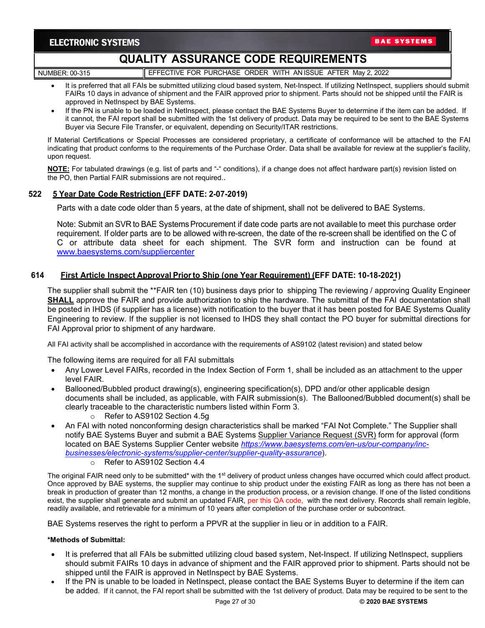# **QUALITY ASSURANCE CODE REQUIREMENTS**

NUMBER: 00-315 **EFFECTIVE FOR PURCHASE ORDER WITH AN ISSUE AFTER May 2, 2022** 

- It is preferred that all FAIs be submitted utilizing cloud based system, Net-Inspect. If utilizing NetInspect, suppliers should submit FAIRs 10 days in advance of shipment and the FAIR approved prior to shipment. Parts should not be shipped until the FAIR is approved in NetInspect by BAE Systems.
- If the PN is unable to be loaded in NetInspect, please contact the BAE Systems Buyer to determine if the item can be added. If it cannot, the FAI report shall be submitted with the 1st delivery of product. Data may be required to be sent to the BAE Systems Buyer via Secure File Transfer, or equivalent, depending on Security/ITAR restrictions.

If Material Certifications or Special Processes are considered proprietary, a certificate of conformance will be attached to the FAI indicating that product conforms to the requirements of the Purchase Order. Data shall be available for review at the supplier's facility, upon request.

**NOTE:** For tabulated drawings (e.g. list of parts and "-" conditions), if a change does not affect hardware part(s) revision listed on the PO, then Partial FAIR submissions are not required..

### **522 5 Year Date Code Restriction (EFF DATE: 2-07-2019)**

Parts with a date code older than 5 years, at the date of shipment, shall not be delivered to BAE Systems.

Note: Submit an SVR to BAE Systems Procurement if date code parts are not available to meet this purchase order requirement. If older parts are to be allowed with re-screen, the date of the re-screen shall be identified on the C of C or attribute data sheet for each shipment. The SVR form and instruction can be found at [www.baesystems.com/suppliercenter](http://www.baesystems.com/suppliercenter)

#### **614 First Article Inspect Approval Priorto Ship (one Year Requirement) (EFF DATE: 10-18-2021)**

The supplier shall submit the \*\*FAIR ten (10) business days prior to shipping The reviewing / approving Quality Engineer **SHALL** approve the FAIR and provide authorization to ship the hardware. The submittal of the FAI documentation shall be posted in IHDS (if supplier has a license) with notification to the buyer that it has been posted for BAE Systems Quality Engineering to review. If the supplier is not licensed to IHDS they shall contact the PO buyer for submittal directions for FAI Approval prior to shipment of any hardware.

All FAI activity shall be accomplished in accordance with the requirements of AS9102 (latest revision) and stated below

The following items are required for all FAI submittals

- Any Lower Level FAIRs, recorded in the Index Section of Form 1, shall be included as an attachment to the upper level FAIR.
- Ballooned/Bubbled product drawing(s), engineering specification(s), DPD and/or other applicable design documents shall be included, as applicable, with FAIR submission(s). The Ballooned/Bubbled document(s) shall be clearly traceable to the characteristic numbers listed within Form 3.
	- o Refer to AS9102 Section 4.5g
- An FAI with noted nonconforming design characteristics shall be marked "FAI Not Complete." The Supplier shall notify BAE Systems Buyer and submit a BAE Systems Supplier Variance Request (SVR) form for approval (form located on BAE Systems Supplier Center website *[https://www.baesystems.com/en-us/our-company/inc](https://www.baesystems.com/en-us/our-company/inc-businesses/electronic-systems/supplier-center/supplier-quality-assurance)[businesses/electronic-systems/supplier-center/supplier-quality-assurance](https://www.baesystems.com/en-us/our-company/inc-businesses/electronic-systems/supplier-center/supplier-quality-assurance)*).
	- o Refer to AS9102 Section 4.4

The original FAIR need only to be submitted\* with the 1<sup>st</sup> delivery of product unless changes have occurred which could affect product. Once approved by BAE systems, the supplier may continue to ship product under the existing FAIR as long as there has not been a break in production of greater than 12 months, a change in the production process, or a revision change. If one of the listed conditions exist, the supplier shall generate and submit an updated FAIR, per this QA code, with the next delivery. Records shall remain legible, readily available, and retrievable for a minimum of 10 years after completion of the purchase order or subcontract.

BAE Systems reserves the right to perform a PPVR at the supplier in lieu or in addition to a FAIR.

#### **\*Methods of Submittal:**

- It is preferred that all FAIs be submitted utilizing cloud based system, Net-Inspect. If utilizing NetInspect, suppliers should submit FAIRs 10 days in advance of shipment and the FAIR approved prior to shipment. Parts should not be shipped until the FAIR is approved in NetInspect by BAE Systems.
- If the PN is unable to be loaded in NetInspect, please contact the BAE Systems Buyer to determine if the item can be added. If it cannot, the FAI report shall be submitted with the 1st delivery of product. Data may be required to be sent to the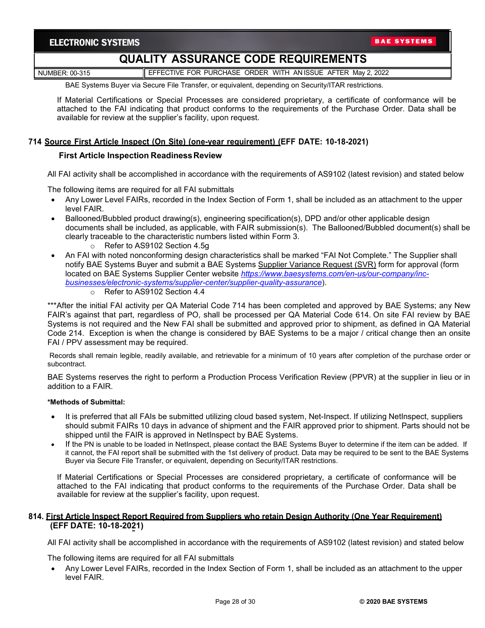NUMBER: 00-315 **EFFECTIVE FOR PURCHASE ORDER WITH AN ISSUE AFTER May 2, 2022** 

BAE Systems Buyer via Secure File Transfer, or equivalent, depending on Security/ITAR restrictions.

If Material Certifications or Special Processes are considered proprietary, a certificate of conformance will be attached to the FAI indicating that product conforms to the requirements of the Purchase Order. Data shall be available for review at the supplier's facility, upon request.

#### **714 Source First Article Inspect (On Site) (one-year requirement) (EFF DATE: 10-18-2021)**

#### **First Article Inspection Readiness Review**

All FAI activity shall be accomplished in accordance with the requirements of AS9102 (latest revision) and stated below

The following items are required for all FAI submittals

- Any Lower Level FAIRs, recorded in the Index Section of Form 1, shall be included as an attachment to the upper level FAIR.
- Ballooned/Bubbled product drawing(s), engineering specification(s), DPD and/or other applicable design documents shall be included, as applicable, with FAIR submission(s). The Ballooned/Bubbled document(s) shall be clearly traceable to the characteristic numbers listed within Form 3.
	- o Refer to AS9102 Section 4.5g
- An FAI with noted nonconforming design characteristics shall be marked "FAI Not Complete." The Supplier shall notify BAE Systems Buyer and submit a BAE Systems Supplier Variance Request (SVR) form for approval (form located on BAE Systems Supplier Center website *[https://www.baesystems.com/en-us/our-company/inc](https://www.baesystems.com/en-us/our-company/inc-businesses/electronic-systems/supplier-center/supplier-quality-assurance)[businesses/electronic-systems/supplier-center/supplier-quality-assurance](https://www.baesystems.com/en-us/our-company/inc-businesses/electronic-systems/supplier-center/supplier-quality-assurance)*).
	- o Refer to AS9102 Section 4.4

\*\*\*After the initial FAI activity per QA Material Code 714 has been completed and approved by BAE Systems; any New FAIR's against that part, regardless of PO, shall be processed per QA Material Code 614. On site FAI review by BAE Systems is not required and the New FAI shall be submitted and approved prior to shipment, as defined in QA Material Code 214. Exception is when the change is considered by BAE Systems to be a major / critical change then an onsite FAI / PPV assessment may be required.

Records shall remain legible, readily available, and retrievable for a minimum of 10 years after completion of the purchase order or subcontract.

BAE Systems reserves the right to perform a Production Process Verification Review (PPVR) at the supplier in lieu or in addition to a FAIR.

#### **\*Methods of Submittal:**

- It is preferred that all FAIs be submitted utilizing cloud based system, Net-Inspect. If utilizing NetInspect, suppliers should submit FAIRs 10 days in advance of shipment and the FAIR approved prior to shipment. Parts should not be shipped until the FAIR is approved in NetInspect by BAE Systems.
- If the PN is unable to be loaded in NetInspect, please contact the BAE Systems Buyer to determine if the item can be added. If it cannot, the FAI report shall be submitted with the 1st delivery of product. Data may be required to be sent to the BAE Systems Buyer via Secure File Transfer, or equivalent, depending on Security/ITAR restrictions.

If Material Certifications or Special Processes are considered proprietary, a certificate of conformance will be attached to the FAI indicating that product conforms to the requirements of the Purchase Order. Data shall be available for review at the supplier's facility, upon request.

#### **814. First Article Inspect Report Required from Suppliers who retain Design Authority (One Year Requirement) (EFF DATE: 10-18-2021)**

All FAI activity shall be accomplished in accordance with the requirements of AS9102 (latest revision) and stated below

The following items are required for all FAI submittals

• Any Lower Level FAIRs, recorded in the Index Section of Form 1, shall be included as an attachment to the upper level FAIR.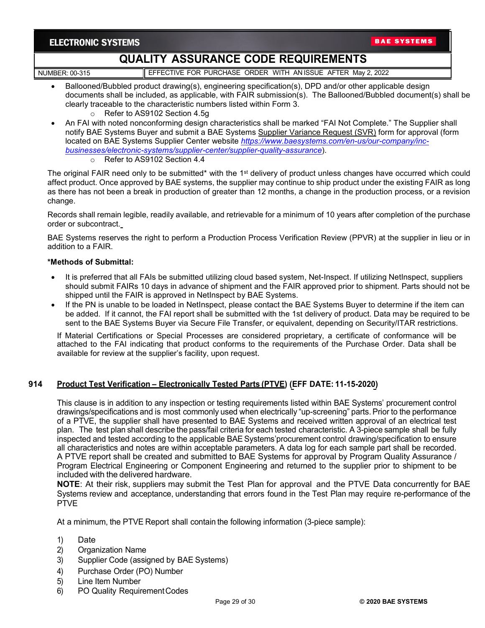# **QUALITY ASSURANCE CODE REQUIREMENTS**

NUMBER: 00-315 **EFFECTIVE FOR PURCHASE ORDER WITH AN ISSUE AFTER May 2, 2022** 

- Ballooned/Bubbled product drawing(s), engineering specification(s), DPD and/or other applicable design documents shall be included, as applicable, with FAIR submission(s). The Ballooned/Bubbled document(s) shall be clearly traceable to the characteristic numbers listed within Form 3.
	- o Refer to AS9102 Section 4.5g
- An FAI with noted nonconforming design characteristics shall be marked "FAI Not Complete." The Supplier shall notify BAE Systems Buyer and submit a BAE Systems Supplier Variance Request (SVR) form for approval (form located on BAE Systems Supplier Center website *[https://www.baesystems.com/en-us/our-company/inc](https://www.baesystems.com/en-us/our-company/inc-businesses/electronic-systems/supplier-center/supplier-quality-assurance)[businesses/electronic-systems/supplier-center/supplier-quality-assurance](https://www.baesystems.com/en-us/our-company/inc-businesses/electronic-systems/supplier-center/supplier-quality-assurance)*).
	- o Refer to AS9102 Section 4.4

The original FAIR need only to be submitted\* with the 1<sup>st</sup> delivery of product unless changes have occurred which could affect product. Once approved by BAE systems, the supplier may continue to ship product under the existing FAIR as long as there has not been a break in production of greater than 12 months, a change in the production process, or a revision change.

Records shall remain legible, readily available, and retrievable for a minimum of 10 years after completion of the purchase order or subcontract.

BAE Systems reserves the right to perform a Production Process Verification Review (PPVR) at the supplier in lieu or in addition to a FAIR.

#### **\*Methods of Submittal:**

- It is preferred that all FAIs be submitted utilizing cloud based system, Net-Inspect. If utilizing NetInspect, suppliers should submit FAIRs 10 days in advance of shipment and the FAIR approved prior to shipment. Parts should not be shipped until the FAIR is approved in NetInspect by BAE Systems.
- If the PN is unable to be loaded in NetInspect, please contact the BAE Systems Buyer to determine if the item can be added. If it cannot, the FAI report shall be submitted with the 1st delivery of product. Data may be required to be sent to the BAE Systems Buyer via Secure File Transfer, or equivalent, depending on Security/ITAR restrictions.

If Material Certifications or Special Processes are considered proprietary, a certificate of conformance will be attached to the FAI indicating that product conforms to the requirements of the Purchase Order. Data shall be available for review at the supplier's facility, upon request.

### **914 Product Test Verification – Electronically Tested Parts (PTVE) (EFF DATE: 11-15-2020)**

This clause is in addition to any inspection or testing requirements listed within BAE Systems' procurement control drawings/specifications and is most commonly used when electrically "up-screening" parts. Prior to the performance of a PTVE, the supplier shall have presented to BAE Systems and received written approval of an electrical test plan. The test plan shall describe the pass/fail criteria for each tested characteristic. A 3-piece sample shall be fully inspected and tested according to the applicable BAE Systems'procurement control drawing/specification to ensure all characteristics and notes are within acceptable parameters. A data log for each sample part shall be recorded. A PTVE report shall be created and submitted to BAE Systems for approval by Program Quality Assurance / Program Electrical Engineering or Component Engineering and returned to the supplier prior to shipment to be included with the delivered hardware.

**NOTE**: At their risk, suppliers may submit the Test Plan for approval and the PTVE Data concurrently for BAE Systems review and acceptance, understanding that errors found in the Test Plan may require re-performance of the PTVE

At a minimum, the PTVE Report shall contain the following information (3-piece sample):

- 1) Date
- 2) Organization Name
- 3) Supplier Code (assigned by BAE Systems)
- 4) Purchase Order (PO) Number
- 5) Line Item Number
- 6) PO Quality RequirementCodes